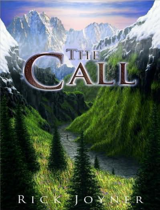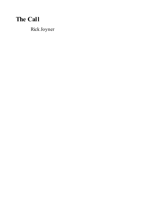### **The Call**

Rick Joyner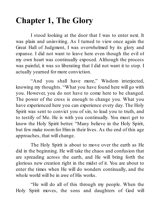# **Chapter 1, The Glory**

I stood looking at the door that I was to enter next. It was plain and uninviting. As I turned to view once again the Great Hall of Judgment, I was overwhelmed by its glory and expanse. I did not want to leave here even though the evil of my own heart was continually exposed. Although the process was painful, it was so liberating that I did not want it to stop. I actually yearned for more conviction.

"And you shall have more," Wisdom interjected, knowing my thoughts. "What you have found here will go with you. However, you do not have to come here to be changed. The power of the cross is enough to change you. What you have experienced here you can experience every day. The Holy Spirit was sent to convict you of sin, to lead you to truth, and to testify of Me. He is with you continually. You must get to know the Holy Spirit better. "Many believe in the Holy Spirit, but few make room for Him in their lives. As the end of this age approaches, that will change.

The Holy Spirit is about to move over the earth as He did in the beginning. He will take the chaos and confusion that are spreading across the earth, and He will bring forth the glorious new creation right in the midst of it. You are about to enter the times when He will do wonders continually, and the whole world will be in awe of His works.

"He will do all of this through my people. When the Holy Spirit moves, the sons and daughters of God will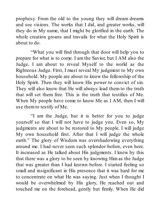prophesy. From the old to the young they will dream dreams and see visions. The works that I did, and greater works, will they do in My name, that I might be glorified in the earth. The whole creation groans and travails for what the Holy Spirit is about to do.

"What you will find through that door will help you to prepare for what is to come. I am the Savior, but I AM also the Judge. I am about to reveal Myself to the world as the Righteous Judge. First, I must reveal My judgment to My own household. My people are about to know the fellowship of the Holy Spirit. Then they will know His power to convict of sin. They will also know that He will always lead them to the truth that will set them free. This is the truth that testifies of Me. When My people have come to know Me as I AM, then I will use themto testify of Me.

"I am the Judge, but it is better for you to judge yourself so that I will not have to judge you. Even so, My judgments are about to be restored to My people. I will judge My own household first. After that I will judge the whole earth." The glory of Wisdom was overshadowing everything around me. I had never seen such splendor before, even here. It increased as He talked about His judgments. I knew by this that there was a glory to be seen by knowing Him as the Judge that was greater than I had known before. I started feeling so small and insignificant in His presence that it was hard for me to concentrate on what He was saying. Just when I thought I would be overwhelmed by His glory, He reached out and touched me on the forehead, gently but firmly. When He did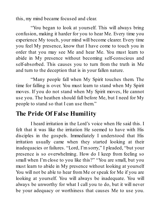this, my mind became focused and clear.

"You began to look at yourself. This will always bring confusion, making it harder for you to hear Me. Every time you experience My touch, your mind will become clearer. Every time you feel My presence, know that I have come to touch you in order that you may see Me and hear Me. You must learn to abide in My presence without becoming self-conscious and self-absorbed. This causes you to turn from the truth in Me and turn to the deception that is in your fallen nature.

"Many people fall when My Spirit touches them. The time for falling is over. You must learn to stand when My Spirit moves. If you do not stand when My Spirit moves, He cannot use you. The heathen should fall before Me, but I need for My people to stand so that I can use them."

#### **The Pride Of False Humility**

I heard irritation in the Lord's voice when He said this. I felt that it was like the irritation He seemed to have with His disciples in the gospels. Immediately I understood that His irritation usually came when they started looking at their inadequacies or failures. "Lord, I'm sorry," I pleaded, "but your presence is so overwhelming. How do I keep from feeling so small when I'm close to you like this?" "You are small, but you must learn to abide in My presence without looking at yourself You will not be able to hear from Me or speak for Me if you are looking at yourself. You will always be inadequate. You will always be unworthy for what I call you to do, but it will never be your adequacy or worthiness that causes Me to use you.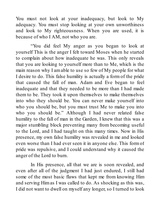You must not look at your inadequacy, but look to My adequacy. You must stop looking at your own unworthiness and look to My righteousness. When you are used, it is because of who I AM, not who you are.

"You did feel My anger as you began to look at yourself This is the anger I felt toward Moses when he started to complain about how inadequate he was. This only reveals that you are looking to yourself more than to Me, which is the main reason why I amable to use so few of My people for what I desire to do. This false humility is actually a form of the pride that caused the fall of man. Adam and Eve began to feel inadequate and that they needed to be more than I had made them to be. They took it upon themselves to make themselves into who they should be. You can never make yourself into who you should be, but you must trust Me to make you into who you should be." Although I had never related false humility to the fall of man in the Garden, I knew that this was a major stumbling block preventing many from becoming useful to the Lord, and I had taught on this many times. Now in His presence, my own false humility was revealed in me and looked even worse than I had ever seen it in anyone else. This form of pride was repulsive, and I could understand why it caused the anger of the Lord to burn.

In His presence, all that we are is soon revealed, and even after all of the judgment I had just endured, I still had some of the most basic flaws that kept me from knowing Him and serving Himas I was called to do. As shocking as this was, I did not want to dwell on myself any longer, so I turned to look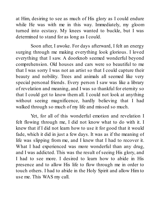at Him, desiring to see as much of His glory as I could endure while He was with me in this way. Immediately, my gloom turned into ecstasy. My knees wanted to buckle, but I was determined to stand for as long as I could.

Soon after, I awoke. For days afterward, I felt an energy surging through me making everything look glorious. I loved everything that I saw. A doorknob seemed wonderful beyond comprehension. Old houses and cars were so beautiful to me that I was sorry I was not an artist so that I could capture their beauty and nobility. Trees and animals all seemed like very special personal friends. Every person I saw was like a library of revelation and meaning, and I was so thankful for eternity so that I could get to know them all. I could not look at anything without seeing magnificence, hardly believing that I had walked through so much of my life and missed so much.

Yet, for all of this wonderful emotion and revelation I felt flowing through me, I did not know what to do with it. I knew that if I did not learn how to use it for good that it would fade, which it did in just a few days. It was as if the meaning of life was slipping from me, and I knew that I had to recover it. What I had experienced was more wonderful than any drug. and I was addicted. This was the result of seeing His glory, and I had to see more. I desired to learn how to abide in His presence and to allow His life to flow through me in order to touch others. I had to abide in the Holy Spirit and allow Him to use me. This WAS my call.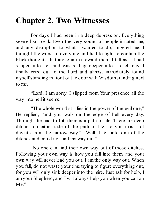## **Chapter 2, Two Witnesses**

For days I had been in a deep depression. Everything seemed so bleak. Even the very sound of people irritated me, and any disruption to what I wanted to do, angered me. I thought the worst of everyone and had to fight to contain the black thoughts that arose in me toward them. I felt as if I had slipped into hell and was sliding deeper into it each day. I finally cried out to the Lord and almost immediately found myself standing in front of the door with Wisdomstanding next to me.

"Lord, I am sorry. I slipped from Your presence all the way into hell it seems."

"The whole world still lies in the power of the evil one," He replied, "and you walk on the edge of hell every day. Through the midst of it, there is a path of life. There are deep ditches on either side of the path of life, so you must not deviate from the narrow way." "Well, I fell into one of the ditches and could not find my way out."

"No one can find their own way out of those ditches. Following your own way is how you fall into them, and your own way will never lead you out. I am the only way out. When you fall, do not waste your time trying to figure everything out, for you will only sink deeper into the mire. Just ask for help, I am your Shepherd, and I will always help you when you call on Me."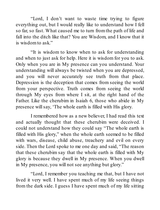"Lord, I don't want to waste time trying to figure everything out, but I would really like to understand how I fell so far, so fast. What caused me to turn from the path of life and fall into the ditch like that? You are Wisdom, and I know that it is wisdomto ask."

"It is wisdom to know when to ask for understanding and when to just ask for help. Here it is wisdom for you to ask. Only when you are in My presence can you understand. Your understanding will always be twisted when you are depressed, and you will never accurately see truth from that place. Depression is the deception that comes from seeing the world from your perspective. Truth comes from seeing the world through My eyes from where I sit, at the right hand of the Father. Like the cherubim in Isaiah 6, those who abide in My presence willsay, 'The whole earth is filled with His glory.

I remembered how as a new believer, I had read this text and actually thought that these cherubim were deceived. I could not understand how they could say "The whole earth is filled with His glory," when the whole earth seemed to be filled with wars, disease, child abuse, treachery and evil on every side. Then the Lord spoke to me one day and said, "The reason that these cherubim say that the whole earth is filled with My glory is because they dwell in My presence. When you dwell in My presence, you will not see anything but glory."

"Lord, I remember you teaching me that, but I have not lived it very well. I have spent much of my life seeing things from the dark side. I guess I have spent much of my life sitting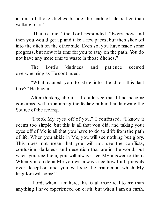in one of those ditches beside the path of life rather than walking on it."

"That is true," the Lord responded. "Every now and then you would get up and take a few paces, but then slide off into the ditch on the other side. Even so, you have made some progress, but now it is time for you to stay on the path. You do not have any more time to waste in those ditches."

The Lord's kindness and patience seemed overwhelming as He continued.

"What caused you to slide into the ditch this last time?" He began.

After thinking about it, I could see that I had become consumed with maintaining the feeling rather than knowing the Source of the feeling.

"I took My eyes off of you," I confessed. "I know it seems too simple, but this is all that you did, and taking your eyes off of Me is all that you have to do to drift from the path of life. When you abide in Me, you will see nothing but glory. This does not mean that you will not see the conflicts, confusion, darkness and deception that are in the world, but when you see them, you will always see My answer to them. When you abide in Me you will always see how truth prevails over deception and you will see the manner in which My kingdomwill come."

"Lord, when I am here, this is all more real to me than anything I have experienced on earth, but when I am on earth,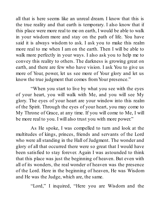all that is here seems like an unreal dream. I know that this is the true reality and that earth is temporary. I also know that if this place were more real to me on earth, I would be able to walk in your wisdom more and stay on the path of life. You have said it is always wisdom to ask. I ask you to make this realm more real to me when I am on the earth. Then I will be able to walk more perfectly in your ways. I also ask you to help me to convey this reality to others. The darkness is growing great on earth, and there are few who have vision. I ask You to give us more of Your, power, let us see more of Your glory and let us know the true judgment that comes fromYour presence."

"When you start to live by what you see with the eyes of your heart, you will walk with Me, and you will see My glory. The eyes of your heart are your window into this realm of the Spirit. Through the eyes of your heart, you may come to My Throne of Grace, at any time. If you will come to Me, I will be more real to you. I will also trust you with more power."

As He spoke, I was compelled to turn and look at the multitudes of kings, princes, friends and servants of the Lord who were all standing in the Hall of Judgment. The wonder and glory of all that occurred there were so great that I would have been satisfied to stay forever. Again I was astounded to think that this place was just the beginning of heaven. But even with all of its wonders, the real wonder of heaven was the presence of the Lord. Here in the beginning of heaven, He was Wisdom and He was the Judge, which are, the same.

"Lord," I inquired, "Here you are Wisdom and the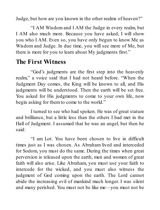Judge, but how are you known in the other realms of heaven?"

"I AM Wisdom and I AM the Judge in every realm, but I AM also much more. Because you have asked, I will show you who I AM. Even so, you have only begun to know Me as Wisdom and Judge. In due time, you will see more of Me, but there is more for you to learn about My judgments first."

#### **The First Witness**

"God's judgments are the first step into the heavenly realm," a voice said that I had not heard before. "When the Judgment Day comes, the King will be known to all, and His judgments will be understood. Then the earth will be set free. You asked for His judgments to come to your own life, now begin asking for themto come to the world."

I turned to see who had spoken. He was of great stature and brilliance, but a little less than the others I had met in the Hall of Judgment. I assumed that he was an angel, but then he said:

"I am Lot. You have been chosen to live in difficult times just as I was chosen. As Abraham lived and interceded for Sodom, you must do the same. During the times when great perversion is released upon the earth, men and women of great faith will also arise. Like Abraham, you must use your faith to intercede for the wicked, and you must also witness the judgment of God coming upon the earth. The Lord cannot abide the increasing evil of mankind much longer. I was silent and many perished. You must not be like me—you must not be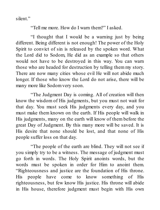silent."

"Tell me more. How do I warn them?" I asked.

"I thought that I would be a warning just by being different. Being different is not enough! The power of the Holy Spirit to convict of sin is released by the spoken word. What the Lord did to Sodom, He did as an example so that others would not have to be destroyed in this way. You can warn those who are headed for destruction by telling them my story. There are now many cities whose evil He will not abide much longer. If those who know the Lord do not arise, there will be many more like Sodomvery soon.

"The Judgment Day is coming. All of creation will then know the wisdom of His judgments, but you must not wait for that day. You must seek His judgments every day, and you must make them known on the earth. If His people will walk in His judgments, many on the earth will know of them before the great Day of Judgment. By this many more will be saved. It is His desire that none should be lost, and that none of His people suffer loss on that day.

"The people of the earth are blind. They will not see if you simply try to be a witness. The message of judgment must go forth in words. The Holy Spirit anoints words, but the words must be spoken in order for Him to anoint them. "Righteousness and justice are the foundation of His throne. His people have come to know something of His righteousness, but few know His justice. His throne will abide in His house, therefore judgment must begin with His own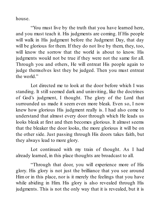house.

"You must live by the truth that you have learned here, and you must teach it. His judgments are coming. If His people will walk in His judgment before the Judgment Day, that day will be glorious for them. If they do not live by them, they, too. will know the sorrow that the world is about to know. His judgments would not be true if they were not the same for all. Through you and others, He will entreat His people again to judge themselves lest they be judged. Then you must entreat the world."

Lot directed me to look at the door before which I was standing. It still seemed dark and uninviting, like the doctrines of God's judgment, I thought. The glory of the Lord that surrounded us made it seem even more bleak. Even so, I now knew how glorious His judgment really is. I had also come to understand that almost every door through which He leads us looks bleak at first and then becomes glorious. It almost seems that the bleaker the door looks, the more glorious it will be on the other side. Just passing through His doors takes faith, but they always lead to more glory.

Lot continued with my train of thought. As I had already learned, in this place thoughts are broadcast to all.

"Through that door, you will experience more of His glory. His glory is not just the brilliance that you see around Him or in this place, nor is it merely the feelings that you have while abiding in Him. His glory is also revealed through His judgments. This is not the only way that it is revealed, but it is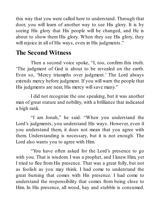this way that you were called here to understand. Through that door, you will learn of another way to see His glory. It is by seeing His glory that His people will be changed, and He is about to show them His glory. When they see His glory, they will rejoice in all of His ways, even in His judgments."

### **The Second Witness**

Then a second voice spoke, "I, too, confirm this truth. 'The judgment of God is about to be revealed on the earth. Even so, 'Mercy triumphs over judgment.' The Lord always extends mercy before judgment. If you will warn the people that His judgments are near. His mercy will save many."

I did not recognize the one speaking, but it was another man of great stature and nobility, with a brilliance that indicated a high rank.

"I am Jonah," he said. "When you understand the Lord's judgments, you understand His ways. However, even if you understand them, it does not mean that you agree with them. Understanding is necessary, but it is not enough. The Lord also wants you to agree with Him.

"You have often asked for the Lord's presence to go with you. That is wisdom. I was a prophet, and I knew Him, yet I tried to flee from His presence. That was a great folly, but not as foolish as you may think. I had come to understand the great burning that comes with His presence. I had come to understand the responsibility that comes from being close to Him. In His presence, all wood, hay and stubble is consumed.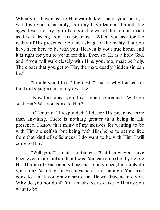When you draw close to Him with hidden sin in your heart, it will drive you to insanity, as many have learned through the ages. I was not trying to flee from the will of the Lord as much as I was fleeing from His presence. "When you ask for the reality of His presence, you are asking for the reality that you have seen here to be with you. Heaven is your true home, and it is right for you to yearn for this. Even so, He is a holy God, and if you will walk closely with Him, you, too, must be holy. The closer that you get to Him, the more deadly hidden sin can be."

"I understand this," I replied. "That is why I asked for the Lord's judgments in my own life."

"Now I must ask you this," Jonah continued. "Will you seek Him? Will you come to Him?"

"Of course," I responded. "I desire His presence more than anything. There is nothing greater than being in His presence. I know that many of my motives for wanting to be with Him are selfish, but being with Him helps to set me free from that kind of selfishness. I do want to be with Him. I will come to Him."

"Will you?" Jonah continued. "Until now you have been even more foolish than I was. You can come boldly before His Throne of Grace at any time and for any need, but rarely do you come. Yearning for His presence is not enough. You must come to Him. If you draw near to Him, He will draw near to you. Why do you not do it? You are always as close to Him as you want to be.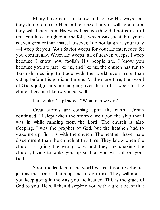"Many have come to know and follow His ways, but they do not come to Him. In the times that you will soon enter, they will depart from His ways because they did not come to I urn. You have laughed at my folly, which was great, but yours is even greater than mine. However, I do not laugh at your folly —I weep for you. Your Savior weeps for you; He intercedes for you continually. When He weeps, all of heaven weeps. I weep because I know how foolish His people are. I know you because you are just like me, and like me, the church has run to Tarshish, desiring to trade with the world even more than sitting before His glorious throne. At the same time, the sword of God's judgments are hanging over the earth. I weep for the church because I know you so well."

"I amguilty!" I pleaded. "What can we do?"

"Great storms are coming upon the earth," Jonah continued. "I slept when the storm came upon the ship that I was in while running from the Lord. The church is also sleeping. I was the prophet of God, but the heathen had to wake me up. So it is with the church. The heathen have more discernment than the church at this time. They know when the church is going the wrong way, and they are shaking the church, trying to wake you up so that you will call on your God.

"Soon the leaders of the world will cast you overboard, just as the men in that ship had to do to me. They will not let you keep going in the way you are headed. This is the grace of God to you. He will then discipline you with a great beast that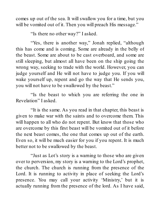comes up out of the sea. It will swallow you for a time, but you will be vomited out of it. Then you will preach His message."

"Is there no other way?" I asked.

"Yes, there is another way," Jonah replied, "although this has come and is coming. Some are already in the belly of the beast. Some are about to be cast overboard, and some are still sleeping, but almost all have been on the ship going the wrong way, seeking to trade with the world. However, you can judge yourself and He will not have to judge you. If you will wake yourself up, repent and go the way that He sends you, you will not have to be swallowed by the beast."

"Is the beast to which you are referring the one in Revelation" I asked.

"It is the same. As you read in that chapter, this beast is given to make war with the saints and to overcome them. This will happen to all who do not repent. But know that those who are overcome by this first beast will be vomited out of it before the next beast comes, the one that comes up out of the earth. Even so, it will be much easier for you if you repent. It is much better not to be swallowed by the beast.

"Just as Lot's story is a warning to those who are given over to perversion, my story is a warning to the Lord's prophet, the church. The church is running from the presence of the Lord. It is running to activity in place of seeking the Lord's presence. You may call your activity 'Ministry,' but it is actually running from the presence of the lord. As I have said,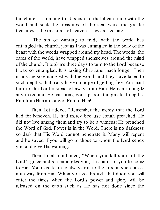the church is running to Tarshish so that it can trade with the world and seek the treasures of the sea, while the greater treasures—the treasures of heaven—few are seeking.

"The sin of wanting to trade with the world has entangled the church, just as I was entangled in the belly of the beast with the weeds wrapped around my head. The weeds, the cares of the world, have wrapped themselves around the mind of the church. It took me three days to turn to the Lord because I was so entangled. It is taking Christians much longer. Their minds are so entangled with the world, and they have fallen to such depths, that many have no hope of getting free. You must turn to the Lord instead of away from Him. He can untangle any mess, and He can bring you up from the greatest depths. Run fromHimno longer! Run to Him!"

Then Lot added, "Remember the mercy that the Lord had for Nineveh. He had mercy because Jonah preached. He did not live among them and try to be a witness: He preached the Word of God. Power is in the Word. There is no darkness so dark that His Word cannot penetrate it. Many will repent and be saved if you will go to those to whom the Lord sends you and give His warning."

Then Jonah continued, "When you fall short of the Lord's grace and sin entangles you, it is hard for you to come to Him. You must learn to always run to the Lord at such times, not away from Him. When you go through that door, you will enter the times when the Lord's power and glory will be released on the earth such as He has not done since the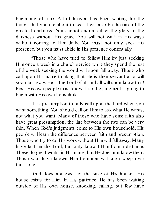beginning of time. All of heaven has been waiting for the things that you are about to see. It will also be the time of the greatest darkness. You cannot endure either the glory or the darkness without His grace. You will not walk in His ways without coming to Him daily. You must not only seek His presence, but you must abide in His presence continually.

"Those who have tried to follow Him by just seeking Him once a week in a church service while they spend the rest of the week seeking the world will soon fall away. Those who call upon His name thinking that He is their servant also will soon fall away. He is the Lord of all and all will soon know this! First, His own people must know it, so the judgment is going to begin with His own household.

"It is presumption to only call upon the Lord when you want something. You should call on Him to ask what He wants, not what you want. Many of those who have some faith also have great presumption; the line between the two can be very thin. When God's judgments come to His own household, His people will learn the difference between faith and presumption. Those who try to do His work without Him will fall away. Many have faith in the Lord, but only know I Him from a distance. These do great works in His name, but He does not know them. Those who have known Him from afar will soon weep over their folly.

"God does not exist for the sake of His house—His house exists for Him. In His patience, He has been waiting outside of His own house, knocking, calling, but few have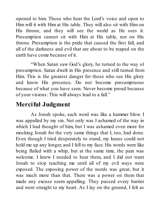opened to him. Those who hear the Lord's voice and open to Him will it with Him at His table. They will also sit with Him on His throne, and they will see the world as He sees it. Presumption cannot sit with Him at His table, nor on His throne. Presumption is the pride that caused the first fall, and all of the darkness and evil that are about to be reaped on the earth have come because of it.

"When Satan saw God's glory, he turned to the way of presumption. Satan dwelt in His presence and still turned from Him. This is the greatest danger for those who see His glory and know His presence. Do not become presumptuous because of what you have seen. Never become proud because of your visions: This will always lead to a fall."

#### **Merciful Judgment**

As Jonah spoke, each word was like a hammer blow. I was appalled by my sin. Not only was I ashamed of the way in which I had thought of him, but I was ashamed even more for mocking Jonah for the very same things that I, too, had done. Even though I tried desperately to stand, my knees could not hold me up any longer, and I fell to my face. His words were like being flailed with a whip, but at the same time, the pain was welcome. I knew I needed to hear them, and I did not want Jonah to stop teaching me until all of my evil ways were exposed. The exposing power of the words was great, but it was much more than that. There was a power on them that made any excuse seem appalling. They passed every barrier and went straight to my heart. As I lay on the ground, I felt as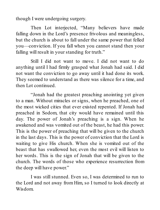though I were undergoing surgery.

Then Lot interjected, "Many believers have made falling down in the Lord's presence frivolous and meaningless. but the church is about to fall under the same power that felled you—conviction. If you fall when you cannot stand then your falling will result in your standing for truth."

Still I did not want to move. I did not want to do anything until I had firmly grasped what Jonah had said. I did not want the conviction to go away until it had done its work. They seemed to understand as there was silence for a time, and then Lot continued.

"Jonah had the greatest preaching anointing yet given to a man. Without miracles or signs, when he preached, one of the most wicked cities that ever existed repented. If Jonah had preached in Sodom, that city would have remained until this day. The power of Jonah's preaching is a sign. When he awakened and was vomited out of the beast, he had this power. This is the power of preaching that will be given to the church in the last days. This is the power of conviction that the Lord is waiting to give His church. When she is vomited out of the beast that has swallowed her, even the most evil will listen to her words. This is the sign of Jonah that will be given to the church. The words of those who experience resurrection from the deep will have power."

I was still stunned. Even so, I was determined to run to the Lord and not away from Him, so I turned to look directly at Wisdom.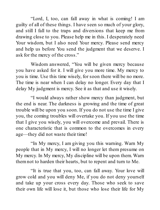"Lord, I, too, can fall away in what is coming! I am guilty of all of these things. I have seen so much of your glory, and still I fall to the traps and diversions that keep me from drawing close to you. Please help me in this. I desperately need Your wisdom, but I also need Your mercy. Please send mercy and help us before You send the judgment that we deserve. I ask for the mercy of the cross."

Wisdom answered, "You will be given mercy because you have asked for it. I will give you more time. My mercy to you is time. Use this time wisely, for soon there will be no more. The time is near when I can delay no longer. Every day that I delay My judgment is mercy. See it as that and use it wisely.

"I would always rather show mercy than judgment, but the end is near. The darkness is growing and the time of great trouble will be upon you soon. If you do not use the time I give you, the coming troubles will overtake you. If you use the time that I give you wisely, you will overcome and prevail. There is one characteristic that is common to the overcomes in every age—they did not waste their time!

"In My mercy, I am giving you this warning. Warn My people that in My mercy, I will no longer let them presume on My mercy. In My mercy, My discipline will be upon them. Warn themnot to harden their hearts, but to repent and turn to Me.

"It is true that you, too, can fall away. Your love will grow cold and you will deny Me, if you do not deny yourself and take up your cross every day. Those who seek to save their own life will lose it, but those who lose their life for My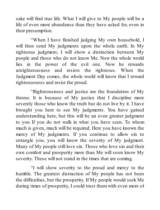sake will find true life. What I will give to My people will be a life of even more abundance than they have asked for, even in their presumption.

"When I have finished judging My own household, I will then send My judgments upon the whole earth. In My righteous judgment, I will show a distinction between My people and those who do not know Me. Now the whole world lies in the power of the evil one. Now he rewards unrighteousness and resists the righteous. When the Judgment Day comes, the whole world will know that I reward righteousness and resist the proud.

"Righteousness and justice are the foundation of My throne. It is because of My justice that I discipline more severely those who know the truth but do not live by it. I have brought you here to see My judgments. You have gained understanding here, but this will be an even greater judgment to you If you do not walk in what you have seen. To whom much is given, much will be required. Here you have known the mercy of My judgments. If you continue to allow sin to entangle you, you will know the severity of My judgment. Many of My people still love sin. Those who love sin and their own comfort and prosperity more than Me will soon know My severity. These will not stand in the times that are coming.

"I will show severity to the proud and mercy to the humble. The greatest distraction of My people has not been the difficulties, but the prosperity. If My people would seek Me during times of prosperity, I could trust them with even more of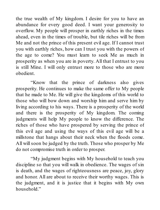the true wealth of My kingdom. I desire for you to have an abundance for every good deed. I want your generosity to overflow. My people will prosper in earthly riches in the times ahead, even in the times of trouble, but tile riches will be from Me and not the prince of this present evil age. If I cannot trust you with earthly riches, how can I trust you with the powers of the age to come? You must learn to seek Me as much in prosperity as when you are in poverty. All that I entrust to you is still Mine. I will only entrust more to those who are more obedient.

"Know that the prince of darkness also gives prosperity. He continues to make the same offer to My people that he made to Me. He will give the kingdoms of this world to those who will bow down and worship him and serve him by living according to his ways. There is a prosperity of the world and there is the prosperity of My kingdom. The coming judgments will help My people to know the difference. The riches of those who have prospered by serving the prince of this evil age and using the ways of this evil age will be a millstone that hangs about their neck when the floods come. All willsoon be judged by the truth. Those who prosper by Me do not compromise truth in order to prosper.

"My judgment begins with My household to teach you discipline so that you will walk in obedience. The wages of sin is death, and the wages of righteousness are peace, joy, glory and honor. All are about to receive their worthy wages. This is the judgment, and it is justice that it begins with My own household."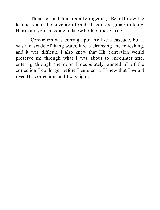Then Lot and Jonah spoke together, "Behold now the kindness and the severity of God.' If you are going to know Himmore, you are going to know both of these more."

Conviction was coming upon me like a cascade, but it was a cascade of living water. It was cleansing and refreshing, and it was difficult. I also knew that His correction would preserve me through what I was about to encounter after entering through the door. I desperately wanted all of the correction I could get before I entered it. I knew that I would need His correction, and I was right.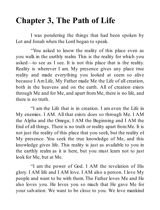## **Chapter 3, The Path of Life**

I was pondering the things that had been spoken by Lot and Jonah when the Lord began to speak.

"You asked to know the reality of this place even as you walk in the earthly realm. This is the reality for which you asked—to see as I see. It is not this place that is the reality. Reality is wherever I am. My presence gives any place true reality and made everything you looked at seem so alive because I Am Life, My Father made Me the Life of all creation, both in the heavens and on the earth. All of creation exists through Me and for Me, and apart fromMe, there is no life, and there is no truth.

"I am the Life that is in creation. I am even the Life in My enemies. I AM. All that exists does so through Me. I AM the Alpha and the Omega; I AM the Beginning and I AM the End of all things. There is no truth or reality apart from Me. It is not just the reality of this place that you seek, but the reality of My presence. You seek the true knowledge of Me, and this knowledge gives life. This reality is just as available to you in the earthly realm as it is here, but you must learn not to just look for Me, but at Me.

"I am the power of God. I AM the revelation of His glory. I AM life and I AM love. I AM also a person. I love My people and want to be with them. The Father loves Me and He also loves you. He loves you so much that He gave Me for your salvation. We want to be close to you. We love mankind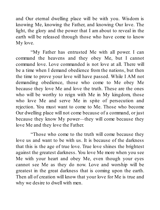and Our eternal dwelling place will be with you. Wisdom is knowing Me, knowing the Father, and knowing Our love. The light, the glory and the power that I am about to reveal in the earth will be released through those who have come to know My love.

"My Father has entrusted Me with all power. I can command the heavens and they obey Me, but I cannot command love. Love commanded is not love at all. There will be a time when I demand obedience from the nations, but then the time to prove your love will have passed. While I AM not demanding obedience, those who come to Me obey Me because they love Me and love the truth. These are the ones who will be worthy to reign with Me in My kingdom, those who love Me and serve Me in spite of persecution and rejection. You must want to come to Me. Those who become Our dwelling place will not come because of a command, or just because they know My power—they will come because they love Me and they love the Father.

"Those who come to the truth will come because they love us and want to be with us. It is because of the darkness that this is the age of true love. True love shines the brightest against the greatest darkness. You love Me more when you see Me with your heart and obey Me, even though your eyes cannot see Me as they do now. Love and worship will be greatest in the great darkness that is coming upon the earth. Then all of creation will know that your love for Me is true and why we desire to dwell with men.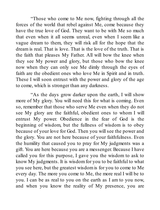"Those who come to Me now, fighting through all the forces of the world that rebel against Me, come because they have the true love of God. They want to be with Me so much that even when it all seems unreal, even when I seem like a vague dream to them, they will risk all for the hope that the dream is real. That is love. That is the love of the truth. That is the faith that pleases My Father. All will bow the knee when they see My power and glory, but those who bow the knee now when they can only see Me dimly through the eyes of faith are the obedient ones who love Me in Spirit and in truth. These I will soon entrust with the power and glory of the age to come, which is stronger than any darkness.

"As the days grow darker upon the earth, I will show more of My glory. You will need this for what is coming. Even so, remember that those who serve Me even when they do not see My glory are the faithful, obedient ones to whom I will entrust My power. Obedience in the fear of God is the beginning of wisdom, but the fullness of wisdom is to obey because of your love for God. Then you will see the power and the glory. You are not here because of your faithfulness. Even the humility that caused you to pray for My judgments was a gift. You are here because you are a messenger. Because I have called you for this purpose, I gave you the wisdom to ask to know My judgments. It is wisdom for you to be faithful to what you see here, but the greatest wisdomis for you to come to Me every day. The more you come to Me, the more real I will be to you. I can be as real to you on the earth as I am to you now, and when you know the reality of My presence, you are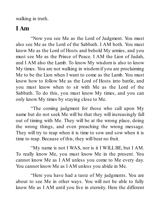walking in truth.

#### **I Am**

"Now you see Me as the Lord of Judgment. You must also see Me as the Lord of the Sabbath. I AM both. You must know Me as the Lord of Hosts and behold My armies, and you must see Me as the Prince of Peace. I AM the Lion of Judah, and I AM also the Lamb. To know My wisdom is also to know My times. You are not walking in wisdomif you are proclaiming Me to be the Lion when I want to come as the Lamb. You must know how to follow Me as the Lord of Hosts into battle, and you must know when to sit with Me as the Lord of the Sabbath. To do this, you must know My times, and you can only know My times by staying close to Me.

"The coming judgment for those who call upon My name but do not seek Me will be that they will increasingly fall out of timing with Me. They will be at the wrong place, doing the wrong things, and even preaching the wrong message. They will try to reap when it is time to sow and sow when it is time to reap. Because of this, they will bear no fruit.

"My name is not I WAS, nor is it I WILLBE, but I AM. To really know Me, you must know Me in the present. You cannot know Me as I AM unless you come to Me every day. You cannot know Me as I AM unless you abide in Me.

"Here you have had a taste of My judgments. You are about to see Me in other ways. You will not be able to fully know Me as I AM until you live in eternity. Here the different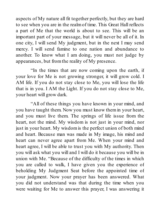aspects of My nature all fit together perfectly, but they are hard to see when you are in the realmof time. This Great Hall reflects a part of Me that the world is about to see. This will be an important part of your message, but it will never be all of it. In one city, I will send My judgment, but in the next I may send mercy. I will send famine to one nation and abundance to another. To know what I am doing, you must not judge by appearances, but fromthe reality of My presence.

"In the times that are now coming upon the earth, if your love for Me is not growing stronger, it will grow cold. I AM life. If you do not stay close to Me, you will lose the life that is in you. I AM the Light. If you do not stay close to Me, your heart will grow dark.

"All of these things you have known in your mind, and you have taught them. Now you must know themin your heart, and you must live them. The springs of life issue from the heart, not the mind. My wisdom is not just in your mind, nor just in your heart. My wisdom is the perfect union of both mind and heart. Because man was made in My image, his mind and heart can never agree apart from Me. When your mind and heart agree, I will be able to trust you with My authority. Then you will ask what you will and I will do it because you will be in union with Me. "Because of the difficulty of the times in which you are called to walk, I have given you the experience of beholding My Judgment Seat before the appointed time of your judgment. Now your prayer has been answered. What you did not understand was that during the time when you were waiting for Me to answer this prayer, I was answering it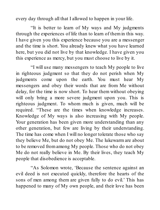every day through all that I allowed to happen in your life.

"It is better to learn of My ways and My judgments through the experiences of life than to learn of themin this way. I have given you this experience because you are a messenger and the time is short. You already knew what you have learned here, but you did not live by that knowledge. I have given you this experience as mercy, but you must choose to live by it.

"I will use many messengers to teach My people to live in righteous judgment so that they do not perish when My judgments come upon the earth. You must hear My messengers and obey their words that are from Me without delay, for the time is now short. To hear them without obeying will only bring a more severe judgment upon you. This is righteous judgment. To whom much is given, much will be required. "These are the times when knowledge increases. Knowledge of My ways is also increasing with My people. Your generation has been given more understanding than any other generation, but few are living by their understanding. The time has come when I will no longer tolerate those who say they believe Me, but do not obey Me. The lukewarm are about to be removed fromamong My people. Those who do not obey Me do not really believe in Me. By their lives, they teach My people that disobedience is acceptable.

"As Solomon wrote, 'Because the sentence against an evil deed is not executed quickly, therefore the hearts of the sons of men among them are given fully to do evil.' This has happened to many of My own people, and their love has been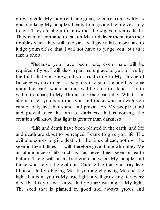growing cold. My judgments are going to come more swiftly as grace to keep My people's hearts from giving themselves fully to evil. They are about to know that the wages of sin is death. They cannot continue to call on Me to deliver them from their troubles when they still love sin. I will give a little more time to judge yourself so that I will not have to judge you, but that time is short.

"Because you have been here, even more will be required of you. I will also impart more grace to you to live by the truth that you know, but you must come to My Throne of Grace every day to get it. I say to you again, the time has come upon the earth when no one will be able to stand in truth without coming to My Throne of Grace each day. What I am about to tell you is so that you and those who are with you cannot only live, but stand and prevail. As My people stand and prevail over the time of darkness that is coming, the creation will know that light is greater than darkness.

"Life and death have been planted in the earth, and life and death are about to be reaped. I came to give you life. The evil one comes to give death. In the times ahead, both will be seen in their fullness. I will therefore give those who obey Me an abundance of life such as has never been seen on earth before. There will be a distinction between My people and those who serve the evil one. Choose life that you may live. Choose life by obeying Me. If you are choosing Me and the light that is in you is My true light, it will grow brighter every day. By this you will know that you are walking in My light. The seed that is planted in good soil always grows and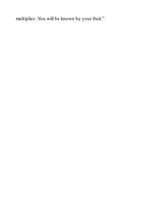multiplies: You will be known by your fruit."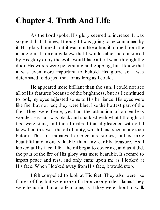# **Chapter 4, Truth And Life**

As the Lord spoke, His glory seemed to increase. It was so great that at times, I thought I was going to be consumed by it. His glory burned, but it was not like a fire; it burned from the inside out. I somehow knew that I would either be consumed by His glory or by the evil I would face after I went through the door. His words were penetrating and gripping, but I knew that it was even more important to behold His glory, so I was determined to do just that for as long as I could.

He appeared more brilliant than the sun. I could not see all of His features because of the brightness, but as I continued to look, my eyes adjusted some to His brilliance. His eyes were like fire, but not red; they were blue, like the hottest part of the fire. They were fierce, yet had the attraction of an endless wonder. His hair was black and sparkled with what I thought at first were stars, and then I realized that it glistened with oil. I knew that this was the oil of unity, which I had seen in a vision before. This oil radiates like precious stones, but is more beautiful and more valuable than any earthly treasure. As I looked at His face, I felt the oil begin to cover me, and as it did, the pain of the fire of His glory was more bearable. It seemed to impart peace and rest, and only came upon me as I looked at His face. When I looked away fromHis face, it would stop.

I felt compelled to look at His feet. They also were like flames of fire, but were more of a bronze or golden flame. They were beautiful, but also fearsome, as if they were about to walk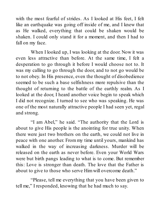with the most fearful of strides. As I looked at His feet, I felt like an earthquake was going off inside of me, and I knew that as He walked, everything that could be shaken would be shaken. I could only stand it for a moment, and then I had to fall on my face.

When I looked up, I was looking at the door. Now it was even less attractive than before. At the same time, I felt a desperation to go through it before I would choose not to. It was my calling to go through the door, and to not go would be to not obey. In His presence, even the thought of disobedience seemed to be such a base selfishness more repulsive than the thought of returning to the battle of the earthly realm. As I looked at the door, I heard another voice begin to speak which I did not recognize. I turned to see who was speaking. He was one of the most naturally attractive people I had seen yet, regal and strong.

"I am Abel," he said. "The authority that the Lord is about to give His people is the anointing for true unity. When there were just two brothers on the earth, we could not live in peace with one another. From my time until yours, mankind has walked in the way of increasing darkness. Murder will be released on the earth as never before. Even your World Wars were but birth pangs leading to what is to come. But remember this: Love is stronger than death. The love that the Father is about to give to those who serve Himwill overcome death."

"Please, tell me everything that you have been given to tell me," I responded, knowing that he had much to say.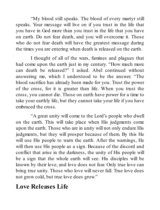"My blood still speaks. The blood of every martyr still speaks. Your message will live on if you trust in the life that you have in God more than you trust in the life that you have on earth. Do not fear death, and you will overcome it. Those who do not fear death will have the greatest message during the times you are entering when death is released on the earth.

I thought of all of the wars, famines and plagues that had come upon the earth just in my century. "How much more can death be released?" I asked. Abel continued without answering me, which I understood to be the answer. "The blood sacrifice has already been made for you. Trust the power of the cross, for it is greater than life. When you trust the cross, you cannot die. Those on earth have power for a time to take your earthly life, but they cannot take your life if you have embraced the cross.

"A great unity will come to the Lord's people who dwell on the earth. This will take place when His judgments come upon the earth. Those who are in unity will not only endure His judgments, but they will prosper because of them. By this He will use His people to warn the earth. After the warnings, He will then use His people as a sign. Because of the discord and conflict that arise in the darkness, the unity of His people will be a sign that the whole earth will see. His disciples will be known by their love, and love does not fear. Only true love can bring true unity. Those who love will never fall. True love does not grow cold, but true love does grow."

### **Love Releases Life**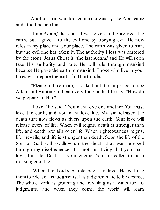Another man who looked almost exactly like Abel came and stood beside him.

"I am Adam," he said. "I was given authority over the earth, but I gave it to the evil one by obeying evil. He now rules in my place and your place. The earth was given to man, but the evil one has taken it. The authority I lost was restored by the cross. Jesus Christ is 'the last Adam,' and He will soon take His authority and rule. He will rule through mankind because He gave the earth to mankind. Those who live in your times will prepare the earth for Himto rule."

"Please tell me more," I asked, a little surprised to see Adam, but wanting to hear everything he had to say. "How do we prepare for Him?"

"Love," he said. "You must love one another. You must love the earth, and you must love life. My sin released the death that now flows as rivers upon the earth. Your love will release rivers of life. When evil reigns, death is stronger than life, and death prevails over life. When righteousness reigns, life prevails, and life is stronger than death. Soon the life of the Son of God will swallow up the death that was released through my disobedience. It is not just living that you must love, but life. Death is your enemy. You are called to be a messenger of life.

"When the Lord's people begin to love, He will use themto release His judgments. His judgments are to be desired. The whole world is groaning and travailing as it waits for His judgments, and when they come, the world will learn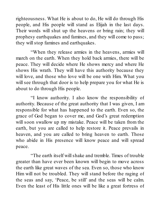righteousness. What He is about to do, He will do through His people, and His people will stand as Elijah in the last days. Their words will shut up the heavens or bring rain; they will prophesy earthquakes and famines, and they will come to pass; they willstop famines and earthquakes.

"When they release armies in the heavens, armies will march on the earth. When they hold back armies, there will be peace. They will decide where He shows mercy and where He shows His wrath. They will have this authority because they will love, and those who love will be one with Him. What you will see through that door is to help prepare you for what He is about to do through His people.

"I know authority. I also know the responsibility of authority. Because of the great authority that I was given, I am responsible for what has happened to the earth. Even so, the grace of God began to cover me, and God's great redemption will soon swallow up my mistake. Peace will be taken from the earth, but you are called to help restore it. Peace prevails in heaven, and you are called to bring heaven to earth. Those who abide in His presence will know peace and will spread peace.

"The earth itself willshake and tremble. Times of trouble greater than have ever been known will begin to move across the earth like great waves of the sea. Even so, those who know Him will not be troubled. They will stand before the raging of the seas and say, 'Peace, be still' and the seas will be calm. Even the least of His little ones will be like a great fortress of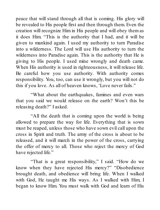peace that will stand through all that is coming. His glory will be revealed to His people first and then through them. Even the creation will recognize Him in His people and will obey them as it does Him. "This is the authority that I had, and it will be given to mankind again. I used my authority to turn Paradise into a wilderness. The Lord will use His authority to turn the wilderness into Paradise again. This is the authority that He is giving to His people. I used mine wrongly and death came. When His authority is used in righteousness, it will release life. Be careful how you use authority. With authority comes responsibility. You, too, can use it wrongly, but you will not do this if you love. As all of heaven knows, 'Love never fails."

"What about the earthquakes, famines and even wars that you said we would release on the earth? Won't this be releasing death?" I asked.

"All the death that is coming upon the world is being allowed to prepare the way for life. Everything that is sown must be reaped, unless those who have sown evil call upon the cross in Spirit and truth. The army of the cross is about to be released, and it will march in the power of the cross, carrying the offer of mercy to all. Those who reject the mercy of God have rejected life."

"That is a great responsibility," I said. "How do we know when they have rejected His mercy?" "Disobedience brought death, and obedience will bring life. When I walked with God, He taught me His ways. As I walked with Him, I began to know Him. You must walk with God and learn of His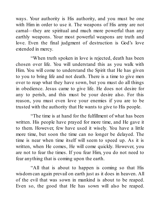ways. Your authority is His authority, and you must be one with Him in order to use it. The weapons of His army are not carnal—they are spiritual and much more powerful than any earthly weapons. Your most powerful weapons are truth and love. Even the final judgment of destruction is God's love extended in mercy.

"When truth spoken in love is rejected, death has been chosen over life. You will understand this as you walk with Him. You will come to understand the Spirit that He has given to you to bring life and not death. There is a time to give men over to reap what they have sown, but you must do all things in obedience. Jesus came to give life. He does not desire for any to perish, and this must be your desire also. For this reason, you must even love your enemies if you are to be trusted with the authority that He wants to give to His people.

"The time is at hand for the fulfillment of what has been written. His people have prayed for more time, and He gave it to them. However, few have used it wisely. You have a little more time, but soon the time can no longer be delayed. The time is near when time itself will seem to speed up. As it is written, when He comes, He will come quickly. However, you are not to fear the times. If you fear Him, you do not need to fear anything that is coming upon the earth.

"All that is about to happen is coming so that His wisdom can again prevail on earth just as it does in heaven. All of the evil that was sown in mankind is about to be reaped. Even so, the good that He has sown will also be reaped.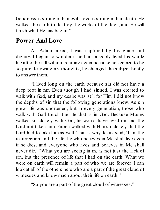Goodness is stronger than evil. Love is stronger than death. He walked the earth to destroy the works of the devil, and He will finish what He has begun."

#### **Power And Love**

As Adam talked, I was captured by his grace and dignity. I began to wonder if he had possibly lived his whole life after the fall without sinning again because he seemed to be so pure. Knowing my thoughts, he changed the subject briefly to answer them.

"I lived long on the earth because sin did not have a deep root in me. Even though I had sinned, I was created to walk with God, and my desire was still for Him. I did not know the depths of sin that the following generations knew. As sin grew, life was shortened, but in every generation, those who walk with God touch the life that is in God. Because Moses walked so closely with God, he would have lived on had the Lord not taken him. Enoch walked with Him so closely that the Lord had to take him as well. That is why Jesus said, 'I am the resurrection and the life; he who believes in Me shall live even if he dies, and everyone who lives and believes in Me shall never die.' "What you are seeing in me is not just the lack of sin, but the presence of life that I had on the earth. What we were on earth will remain a part of who we are forever. I can look at all of the others here who are a part of the great cloud of witnesses and know much about their life on earth."

"So you are a part of the great cloud of witnesses."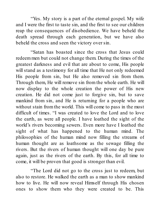"Yes. My story is a part of the eternal gospel. My wife and I were the first to taste sin, and the first to see our children reap the consequences of disobedience. We have beheld the death spread through each generation, but we have also beheld the cross and seen the victory over sin.

"Satan has boasted since the cross that Jesus could redeemmen but could not change them. During the times of the greatest darkness and evil that are about to come, His people will stand as a testimony for all time that He not only redeemed His people from sin, but He also removed sin from them. Through them, He will remove sin from the whole earth. He will now display to the whole creation the power of His new creation. He did not come just to forgive sin, but to save mankind from sin, and He is returning for a people who are without stain fromthe world. This will come to pass in the most difficult of times. "I was created to love the Lord and to love the earth, as were all people. I have loathed the sight of the world's rivers becoming sewers. Even more have I loathed the sight of what has happened to the human mind. The philosophies of the human mind now filling the streams of human thought are as loathsome as the sewage filling the rivers. But the rivers of human thought will one day be pure again, just as the rivers of the earth. By this, for all time to come, it will be proven that good is stronger than evil.

"The Lord did not go to the cross just to redeem, but also to restore. He walked the earth as a man to show mankind how to live. He will now reveal Himself through His chosen ones to show them who they were created to be. This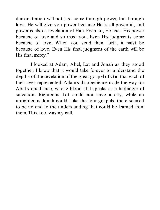demonstration will not just come through power, but through love. He will give you power because He is all powerful, and power is also a revelation of Him. Even so, He uses His power because of love and so must you. Even His judgments come because of love. When you send them forth, it must be because of love. Even His final judgment of the earth will be His final mercy."

I looked at Adam, Abel, Lot and Jonah as they stood together. I knew that it would take forever to understand the depths of the revelation of the great gospel of God that each of their lives represented. Adam's disobedience made the way for Abel's obedience, whose blood still speaks as a harbinger of salvation. Righteous Lot could not save a city, while an unrighteous Jonah could. Like the four gospels, there seemed to be no end to the understanding that could be learned from them. This, too, was my call.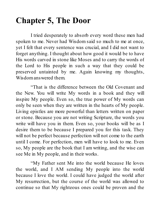# **Chapter 5, The Door**

I tried desperately to absorb every word these men had spoken to me. Never had Wisdom said so much to me at once, yet I felt that every sentence was crucial, and I did not want to forget anything. I thought about how good it would be to have His words carved in stone like Moses and to carry the words of the Lord to His people in such a way that they could be preserved untainted by me. Again knowing my thoughts, Wisdom answered them.

"That is the difference between the Old Covenant and the New. You will write My words in a book and they will inspire My people. Even so, the true power of My words can only be seen when they are written in the hearts of My people. Living epistles are more powerful than letters written on paper or stone. Because you are not writing Scripture, the words you write will have you in them. Even so, your books will be as I desire them to be because I prepared you for this task. They will not be perfect because perfection will not come to the earth until I come. For perfection, men will have to look to me. Even so, My people are the book that I am writing, and the wise can see Me in My people, and in their works.

"My Father sent Me into the world because He loves the world, and I AM sending My people into the world because I love the world. I could have judged the world after My resurrection, but the course of the world was allowed to continue so that My righteous ones could be proven and the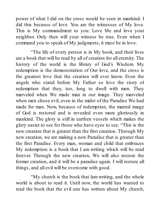power of what I did on the cross would be seen in mankind. I did this because of love. You are the witnesses of My love. This is My commandment to you: Love Me and love your neighbor. Only then will your witness be true. Even when I command you to speak of My judgments, it must be in love.

"The life of every person is in My book, and their lives are a book that will be read by all of creation for all eternity. The history of the world is the library of God's Wisdom. My redemption is the demonstration of Our love, and the cross is the greatest love that the creation will ever know. Even the angels who stand before My Father so love the story of redemption that they, too, long to dwell with men. They marveled when We made man in our image. They marveled when men chose evil, even in the midst of the Paradise We had made for man. Now, because of redemption, the marred image of God is restored and is revealed even more gloriously in mankind. The glory is still in earthen vessels which makes the glory easier to see for those who have eyes to see. "This is the new creation that is greater than the first creation. Through My new creation, we are making a new Paradise that is greater than the first Paradise. Every man, woman and child that embraces My redemption is a book that I am writing which will be read forever. Through the new creation, We will also restore the former creation, and it will be a paradise again. I will restore all things, and all evil will be overcome with good.

"My church is the book that lam writing, and the whole world is about to read it. Until now, the world has wanted to read the book that the evil one has written about My church,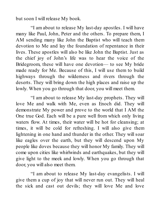but soon I will release My book.

"I am about to release My last-day apostles. I will have many like Paul, John, Peter and the others. To prepare them, I AM sending many like John the Baptist who will teach them devotion to Me and lay the foundation of repentance in their lives. These apostles will also be like John the Baptist. Just as the chief joy of John's life was to hear the voice of the Bridegroom, these will have one devotion— to see My bride made ready for Me. Because of this, I will use them to build highways through the wilderness and rivers through the deserts. They will bring down the high places and raise up the lowly. When you go through that door, you will meet them.

"I am about to release My last-day prophets. They will love Me and walk with Me, even as Enoch did. They will demonstrate My power and prove to the world that I AM the One true God. Each will be a pure well from which only living waters flow. At times, their water will be hot for cleansing; at times, it will be cold for refreshing. I will also give them lightening in one hand and thunder in the other. They will soar like eagles over the earth, but they will descend upon My people like doves because they will honor My family. They will come upon cities like whirlwinds and earthquakes, but they will give light to the meek and lowly. When you go through that door, you will also meet them.

"I am about to release My last-day evangelists. I will give them a cup of joy that will never run out. They will heal the sick and cast out devils; they will love Me and love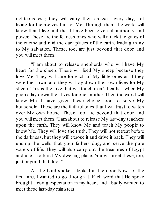righteousness; they will carry their crosses every day, not living for themselves but for Me. Through them, the world will know that I live and that I have been given all authority and power. These are the fearless ones who will attack the gates of the enemy and raid the dark places of the earth, leading many to My salvation. These, too, are just beyond that door, and you will meet them.

"I am about to release shepherds who will have My heart for the sheep. These will feed My sheep because they love Me. They will care for each of My little ones as if they were their own, and they will lay down their own lives for My sheep. This is the love that will touch men's hearts—when My people lay down their lives for one another. Then the world will know Me. I have given these choice food to serve My household. These are the faithful ones that I will trust to watch over My own house. These, too, are beyond that door, and you will meet them. "I amabout to release My last-day teachers upon the earth. They will know Me and teach My people to know Me. They will love the truth. They will not retreat before the darkness, but they will expose it and drive it back. They will unstop the wells that your fathers dug, and serve the pure waters of life. They will also carry out the treasures of Egypt and use it to build My dwelling place. You will meet these, too, just beyond that door."

As the Lord spoke, I looked at the door. Now, for the first time, I wanted to go through it. Each word that He spoke brought a rising expectation in my heart, and I badly wanted to meet these last-day ministers.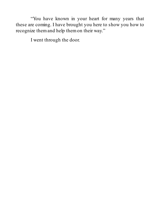"You have known in your heart for many years that these are coming. I have brought you here to show you how to recognize themand help themon their way."

I went through the door.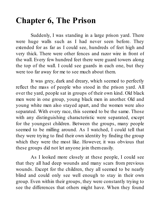# **Chapter 6, The Prison**

Suddenly, I was standing in a large prison yard. There were huge walls such as I had never seen before. They extended for as far as I could see, hundreds of feet high and very thick. There were other fences and razor wire in front of the wall. Every few hundred feet there were guard towers along the top of the wall. I could see guards in each one, but they were too far away for me to see much about them.

It was grey, dark and dreary, which seemed to perfectly reflect the mass of people who stood in the prison yard. All over the yard, people sat in groups of their own kind. Old black men were in one group, young black men in another. Old and young white men also stayed apart, and the women were also separated. With every race, this seemed to be the same. Those with any distinguishing characteristic were separated, except for the youngest children. Between the groups, many people seemed to be milling around. As I watched, I could tell that they were trying to find their own identity by finding the group which they were the most like. However, it was obvious that these groups did not let anyone join themeasily.

As I looked more closely at these people, I could see that they all had deep wounds and many scars from previous wounds. Except for the children, they all seemed to be nearly blind and could only see well enough to stay in their own group. Even within their groups, they were constantly trying to see the differences that others might have. When they found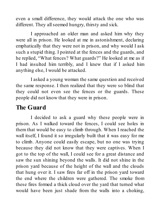even a small difference, they would attack the one who was different. They all seemed hungry, thirsty and sick.

I approached an older man and asked him why they were all in prison. He looked at me in astonishment, declaring emphatically that they were not in prison, and why would I ask such a stupid thing. I pointed at the fences and the guards, and he replied, "What fences? What guards?" He looked at me as if I had insulted him terribly, and I knew that if I asked him anything else, I would be attacked.

I asked a young woman the same question and received the same response. I then realized that they were so blind that they could not even see the fences or the guards. These people did not know that they were in prison.

#### **The Guard**

I decided to ask a guard why these people were in prison. As I walked toward the fences, I could see holes in them that would be easy to climb through. When I reached the wall itself, I found it so irregularly built that it was easy for me to climb. Anyone could easily escape, but no one was trying because they did not know that they were captives. When I got to the top of the wall, I could see for a great distance and saw the sun shining beyond the walls. It did not shine in the prison yard because of the height of the wall and the clouds that hung over it. I saw fires far off in the prison yard toward the end where the children were gathered. The smoke from these fires formed a thick cloud over the yard that turned what would have been just shade from the walls into a choking,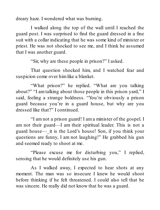dreary haze. I wondered what was burning.

I walked along the top of the wall until I reached the guard post. I was surprised to find the guard dressed in a fine suit with a collar indicating that he was some kind of minister or priest. He was not shocked to see me, and I think he assumed that I was another guard.

"Sir, why are these people in prison?" I asked.

That question shocked him, and I watched fear and suspicion come over himlike a blanket.

"What prison?" he replied. "What are you talking about?" "I am talking about those people in this prison yard," I said, feeling a strange boldness. "You're obviously a prison guard because you're in a guard house, but why are you dressed like that?" I continued.

"I am not a prison guard! I am a minister of the gospel. I am not their guard—I am their spiritual leader. This is not a guard house—\_it is the Lord's house! Son, if you think your questions are funny, I am not laughing!" He grabbed his gun and seemed ready to shoot at me.

"Please excuse me for disturbing you," I replied, sensing that he would definitely use his gun.

As I walked away, I expected to hear shots at any moment. The man was so insecure I knew he would shoot before thinking if he felt threatened. I could also tell that he was sincere. He really did not know that he was a guard.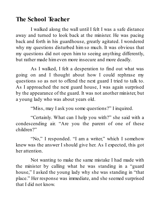### **The School Teacher**

I walked along the wall until I felt I was a safe distance away and turned to look back at the minister. He was pacing back and forth in his guardhouse, greatly agitated. I wondered why my questions disturbed him so much. It was obvious that my questions did not open him to seeing anything differently, but rather made himeven more insecure and more deadly.

As I walked, I felt a desperation to find out what was going on and I thought about how I could rephrase my questions so as not to offend the next guard I tried to talk to. As I approached the next guard house, I was again surprised by the appearance of the guard. It was not another minister, but a young lady who was about years old.

"Miss, may I ask you some questions?" I inquired.

"Certainly. What can I help you with?" she said with a condescending air. "Are you the parent of one of these children?"

"No," I responded. "I am a writer," which I somehow knew was the answer I should give her. As I expected, this got her attention.

Not wanting to make the same mistake I had made with the minister by calling what he was standing in a "guard house," I asked the young lady why she was standing in "that place." Her response was immediate, and she seemed surprised that I did not know.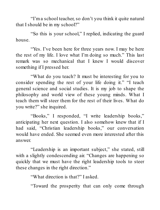"I'ma school teacher, so don't you think it quite natural that I should be in my school?"

"So this is your school," I replied, indicating the guard house.

"Yes. I've been here for three years now. I may be here the rest of my life. I love what I'm doing so much." This last remark was so mechanical that I knew I would discover something if I pressed her.

"What do you teach? It must be interesting for you to consider spending the rest of your life doing it." "I teach general science and social studies. It is my job to shape the philosophy and world view of these young minds. What I teach them will steer them for the rest of their lives. What do you write?" she inquired.

"Books," I responded, "I write leadership books," anticipating her next question. I also somehow knew that if I had said, "Christian leadership books," our conversation would have ended. She seemed even more interested after this answer.

"Leadership is an important subject," she stated, still with a slightly condescending air. "Changes are happening so quickly that we must have the right leadership tools to steer these changes in the right direction."

"What direction is that?" I asked.

"Toward the prosperity that can only come through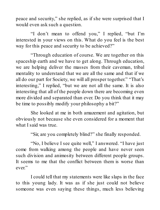peace and security," she replied, as if she were surprised that I would even ask such a question.

"I don't mean to offend you," I replied, "but I'm interested in your views on this. What do you feel is the best way for this peace and security to be achieved?"

"Through education of course. We are together on this spaceship earth and we have to get along. Through education, we are helping deliver the masses from their caveman, tribal mentality to understand that we are all the same and that if we all do our part for Society, we will all prosper together." "That's interesting," I replied, "but we are not all the same. It is also interesting that all of the people down there are becoming even more divided and separated than ever. Do you think that it may be time to possibly modify your philosophy a bit?"

She looked at me in both amazement and agitation, but obviously not because she even considered for a moment that what I said was true.

"Sir, are you completely blind?" she finally responded.

"No, I believe I see quite well," I answered. "I have just come from walking among the people and have never seen such division and animosity between different people groups. It seems to me that the conflict between them is worse than ever."

I could tell that my statements were like slaps in the face to this young lady. It was as if she just could not believe someone was even saying these things, much less believing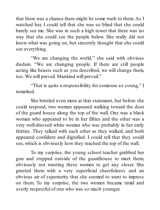that there was a chance there might be some truth to them. As I watched her, I could tell that she was so blind that she could barely see me. She was in such a high tower that there was no way that she could see the people below. She really did not know what was going on, but sincerely thought that she could see everything.

"We are changing the world," she said with obvious disdain. "We are changing people. If there are still people acting like beasts such as you described, we will change them, too. We will prevail. Mankind will prevail."

"That is quite a responsibility for someone so young," I remarked.

She bristled even more at that statement, but before she could respond, two women appeared walking toward the door of the guard house along the top of the wall. One was a black woman who appeared to be in her fifties and the other was a very well-dressed white woman who was probably in her early thirties. They talked with each other as they walked, and both appeared confident and dignified. I could tell that they could see, which is obviously how they reached the top of the wall.

To my surprise, the young school teacher grabbed her gun and stepped outside of the guardhouse to meet them, obviously not wanting these women to get any closer. She greeted them with a very superficial cheerfulness and an obvious air of superiority that she seemed to want to impress on them. To my surprise, the two women became timid and overly respectful of one who was so much younger.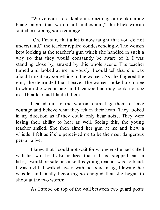"We've come to ask about something our children are being taught that we do not understand," the black woman stated, mustering some courage.

"Oh, I'm sure that a lot is now taught that you do not understand," the teacher replied condescendingly. The women kept looking at the teacher's gun which she handled in such a way so that they would constantly be aware of it. I was standing close by, amazed by this whole scene. The teacher turned and looked at me nervously. I could tell that she was afraid I might say something to the women. As she fingered the gun, she demanded that I leave. The women looked up to see to whom she was talking, and I realized that they could not see me. Their fear had blinded them.

I called out to the women, entreating them to have courage and believe what they felt in their heart. They looked in my direction as if they could only hear noise. They were losing their ability to hear as well. Seeing this, the young teacher smiled. She then aimed her gun at me and blew a whistle. I felt as if she perceived me to be the most dangerous person alive.

I knew that I could not wait for whoever she had called with her whistle. I also realized that if I just stepped back a little, I would be safe because this young teacher was so blind. I was right. I walked away with her screaming, blowing her whistle, and finally becoming so enraged that she began to shoot at the two women.

As I stood on top of the wall between two guard posts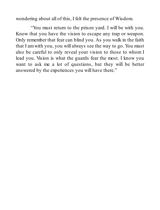wondering about all of this, I felt the presence of Wisdom.

"You must return to the prison yard. I will be with you. Know that you have the vision to escape any trap or weapon. Only remember that fear can blind you. As you walk in the faith that I amwith you, you will always see the way to go. You must also be careful to only reveal your vision to those to whom I lead you. Vision is what the guards fear the most. I know you want to ask me a lot of questions, but they will be better answered by the experiences you will have there."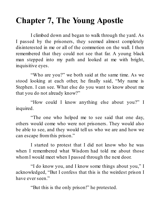# **Chapter 7, The Young Apostle**

I climbed down and began to walk through the yard. As I passed by the prisoners, they seemed almost completely disinterested in me or all of the commotion on the wall. I then remembered that they could not see that far. A young black man stepped into my path and looked at me with bright, inquisitive eyes.

"Who are you?" we both said at the same time. As we stood looking at each other, he finally said, "My name is Stephen. I can see. What else do you want to know about me that you do not already know?"

"How could I know anything else about you?" I inquired.

"The one who helped me to see said that one day, others would come who were not prisoners. They would also be able to see, and they would tell us who we are and how we can escape fromthis prison."

I started to protest that I did not know who he was when I remembered what Wisdom had told me about those whomI would meet when I passed through the next door.

"I do know you, and I know some things about you," I acknowledged, "But I confess that this is the weirdest prison I have ever seen."

"But this is the only prison!" he protested.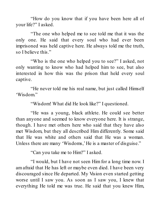"How do you know that if you have been here all of your life?" I asked.

"The one who helped me to see told me that it was the only one. He said that every soul who had ever been imprisoned was held captive here. He always told me the truth, so I believe this."

"Who is the one who helped you to see?" I asked, not only wanting to know who had helped him to see, but also interested in how this was the prison that held every soul captive.

"He never told me his real name, but just called Himself 'Wisdom"

"Wisdom! What did He look like?" I questioned.

"He was a young, black athlete. He could see better than anyone and seemed to know everyone here. It is strange, though. I have met others here who said that they have also met Wisdom, but they all described Him differently. Some said that He was white and others said that He was a woman. Unless there are many 'Wisdoms,'He is a master of disguise."

"Can you take me to Him?" I asked.

"I would, but I have not seen Him for a long time now. I am afraid that He has left or maybe even died. I have been very discouraged since He departed. My Vision even started getting worse until I saw you. As soon as I saw you, I knew that everything He told me was true. He said that you knew Him,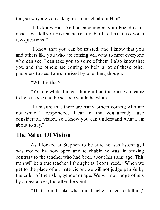too, so why are you asking me so much about Him?"

"I do know Him! And be encouraged, your Friend is not dead. I will tell you His real name, too, but first I must ask you a few questions."

"I know that you can be trusted, and I know that you and others like you who are coming will want to meet everyone who can see. I can take you to some of them. I also know that you and the others are coming to help a lot of these other prisoners to see. I amsurprised by one thing though."

"What is that?"

"You are white. I never thought that the ones who came to help us see and be set free would be white."

"I am sure that there are many others coming who are not white," I responded. "I can tell that you already have considerable vision, so I know you can understand what I am about to say."

#### **The Value Of Vision**

As I looked at Stephen to be sure he was listening, I was moved by how open and teachable he was, in striking contrast to the teacher who had been about his same age. This man will be a true teacher, I thought as I continued. "When we get to the place of ultimate vision, we will not judge people by the color of their skin, gender or age. We will not judge others by appearances, but after the spirit."

"That sounds like what our teachers used to tell us,"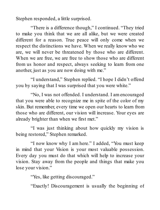Stephen responded, a little surprised.

"There is a difference though," I continued. "They tried to make you think that we are all alike, but we were created different for a reason. True peace will only come when we respect the distinctions we have. When we really know who we are, we will never be threatened by those who are different. When we are free, we are free to show those who are different from us honor and respect, always seeking to learn from one another, just as you are now doing with me."

"I understand," Stephen replied. "I hope I didn't offend you by saying that I was surprised that you were white."

"No, I was not offended. I understand. I am encouraged that you were able to recognize me in spite of the color of my skin. But remember, every time we open our hearts to learn from those who are different, our vision will increase. Your eyes are already brighter than when we first met."

"I was just thinking about how quickly my vision is being restored," Stephen remarked.

"I now know why I am here." I added, "You must keep in mind that your Vision is your most valuable possession. Every day you must do that which will help to increase your vision. Stay away from the people and things that make you lose your vision."

"Yes, like getting discouraged."

"Exactly! Discouragement is usually the beginning of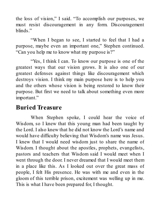the loss of vision," I said. "To accomplish our purposes, we must resist discouragement in any form. Discouragement blinds."

"When I began to see, I started to feel that I had a purpose, maybe even an important one," Stephen continued. "Can you help me to know what my purpose is?"

"Yes, I think I can. To know our purpose is one of the greatest ways that our vision grows. It is also one of our greatest defenses against things like discouragement which destroys vision. I think my main purpose here is to help you and the others whose vision is being restored to know their purpose. But first we need to talk about something even more important."

#### **Buried Treasure**

When Stephen spoke, I could hear the voice of Wisdom, so I knew that this young man had been taught by the Lord. I also knew that he did not know the Lord's name and would have difficulty believing that Wisdom's name was Jesus. I knew that I would need wisdom just to share the name of Wisdom. I thought about the apostles, prophets, evangelists, pastors and teachers that Wisdom said I would meet when I went through the door. I never dreamed that I would meet them in a place like this. As I looked out over the great mass of people, I felt His presence. He was with me and even in the gloom of this terrible prison, excitement was welling up in me. This is what I have been prepared for, I thought.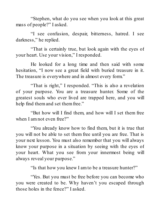"Stephen, what do you see when you look at this great mass of people?" I asked.

"I see confusion, despair, bitterness, hatred. I see darkness," he replied.

"That is certainly true, but look again with the eyes of your heart. Use your vision," I responded.

He looked for a long time and then said with some hesitation, "I now see a great field with buried treasure in it. The treasure is everywhere and in almost every form."

"That is right," I responded. "This is also a revelation of your purpose. You are a treasure hunter. Some of the greatest souls who ever lived are trapped here, and you will help find them and set them free."

"But how will I find them, and how will I set them free when I amnot even free?"

"You already know how to find them, but it is true that you will not be able to set them free until you are free. That is your next lesson. You must also remember that you will always know your purpose in a situation by seeing with the eyes of your heart. What you see from your innermost being will always reveal your purpose."

"Is that how you knew I amto be a treasure hunter?"

"Yes. But you must be free before you can become who you were created to be. Why haven't you escaped through those holes in the fence?" I asked.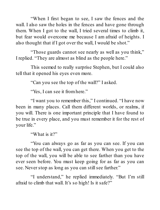"When I first began to see, I saw the fences and the wall. I also saw the holes in the fences and have gone through them. When I got to the wall, I tried several times to climb it, but fear would overcome me because I am afraid of heights. I also thought that if I got over the wall, I would be shot."

"Those guards cannot see nearly as well as you think," I replied. "They are almost as blind as the people here."

This seemed to really surprise Stephen, but I could also tell that it opened his eyes even more.

"Can you see the top of the wall?" I asked.

"Yes, I can see it fromhere."

"I want you to remember this," I continued. "I have now been in many places. Call them different worlds, or realms, if you will. There is one important principle that I have found to be true in every place, and you must remember it for the rest of your life."

"What is it?"

"You can always go as far as you can see. If you can see the top of the wall, you can get there. When you get to the top of the wall, you will be able to see farther than you have ever seen before. You must keep going for as far as you can see. Never stop as long as you can stillsee farther."

"I understand," he replied immediately. "But I'm still afraid to climb that wall. It's so high! Is it safe?"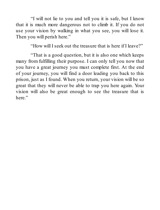"I will not lie to you and tell you it is safe, but I know that it is much more dangerous not to climb it. If you do not use your vision by walking in what you see, you will lose it. Then you will perish here."

"How will I seek out the treasure that is here if I leave?"

"That is a good question, but it is also one which keeps many from fulfilling their purpose. I can only tell you now that you have a great journey you must complete first. At the end of your journey, you will find a door leading you back to this prison, just as I found. When you return, your vision will be so great that they will never be able to trap you here again. Your vision will also be great enough to see the treasure that is here."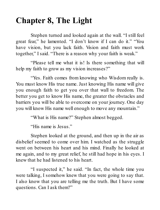# **Chapter 8, The Light**

Stephen turned and looked again at the wall. "I still feel great fear," he lamented. "I don't know if I can do it." "You have vision, but you lack faith. Vision and faith must work together," I said. "There is a reason why your faith is weak."

"Please tell me what it is! Is there something that will help my faith to grow as my vision increases?"

"Yes. Faith comes from knowing who Wisdom really is. You must know His true name. Just knowing His name will give you enough faith to get you over that wall to freedom. The better you get to know His name, the greater the obstacles and barriers you will be able to overcome on your journey. One day you will know His name well enough to move any mountain."

"What is His name?" Stephen almost begged.

"His name is Jesus."

Stephen looked at the ground, and then up in the air as disbelief seemed to come over him. I watched as the struggle went on between his heart and his mind. Finally he looked at me again, and to my great relief, he still had hope in his eyes. I knew that he had listened to his heart.

"I suspected it," he said. "In fact, the whole time you were talking, I somehow knew that you were going to say that. I also know that you are telling me the truth. But I have some questions. Can I ask them?"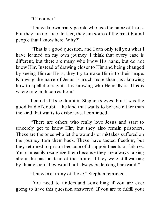"Of course."

"I have known many people who use the name of Jesus, but they are not free. In fact, they are some of the most bound people that I know here. Why?"

"That is a good question, and I can only tell you what I have learned on my own journey. I think that every case is different, but there are many who know His name, but do not know Him. Instead of drawing closer to Himand being changed by seeing Him as He is, they try to make Him into their image. Knowing the name of Jesus is much more than just knowing how to spell it or say it. It is knowing who He really is. This is where true faith comes from."

I could still see doubt in Stephen's eyes, but it was the good kind of doubt—the kind that wants to believe rather than the kind that wants to disbelieve. I continued.

"There are others who really love Jesus and start to sincerely get to know Him, but they also remain prisoners. These are the ones who let the wounds or mistakes suffered on the journey turn them back. These have tasted freedom, but they returned to prison because of disappointments or failures. You can easily recognize them because they are always talking about the past instead of the future. If they were still walking by their vision, they would not always be looking backward."

"I have met many of those," Stephen remarked.

"You need to understand something if you are ever going to have this question answered. If you are to fulfill your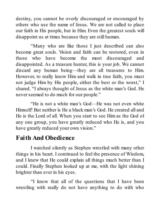destiny, you cannot be overly discouraged or encouraged by others who use the name of Jesus. We are not called to place our faith in His people, but in Him. Even the greatest souls will disappoint us at times because they are still human.

"Many who are like those I just described can also become great souls. Vision and faith can be restored, even in those who have become the most discouraged and disappointed. As a treasure hunter, this is your job. We cannot discard any human being—they are all treasures to Him. However, to really know Him and walk in true faith, you must not judge Him by His people, either the best or the worst," I shared. "I always thought of Jesus as the white man's God. He never seemed to do much for our people."

"He is not a white man's God—He was not even white Himself! But neither is He a black man's God. He created all and He is the Lord of all. When you start to see Him as the God of any one group, you have greatly reduced who He is, and you have greatly reduced your own vision."

### **Faith And Obedience**

I watched silently as Stephen wrestled with many other things in his heart. I continued to feel the presence of Wisdom, and I knew that He could explain all things much better than I could. Finally Stephen looked up at me, with the light shining brighter than ever in his eyes.

"I know that all of the questions that I have been wrestling with really do not have anything to do with who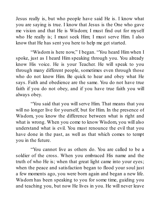Jesus really is, but who people have said He is. I know what you are saying is true. I know that Jesus is the One who gave me vision and that He is Wisdom; I must find out for myself who He really is; I must seek Him; I must serve Him. I also know that He has sent you here to help me get started.

"Wisdom is here now," I began. "You heard Him when I spoke, just as I heard Him speaking through you. You already know His voice. He is your Teacher. He will speak to you through many different people, sometimes even through those who do not know Him. Be quick to hear and obey what He says. Faith and obedience are the same. You do not have true faith if you do not obey, and if you have true faith you will always obey.

"You said that you will serve Him. That means that you will no longer live for yourself, but for Him. In the presence of Wisdom, you know the difference between what is right and what is wrong. When you come to know Wisdom, you will also understand what is evil. You must renounce the evil that you have done in the past, as well as that which comes to tempt you in the future.

"You cannot live as others do. You are called to be a soldier of the cross. When you embraced His name and the truth of who He is; when that great light came into your eyes; when the peace and satisfaction began to flood your soul just a few moments ago, you were born again and began a new life. Wisdom has been speaking to you for some time, guiding you and teaching you, but now He lives in you. He will never leave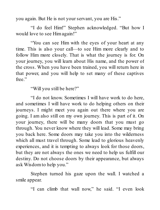you again. But He is not your servant, you are His."

"I do feel Him!" Stephen acknowledged. "But how I would love to see Himagain!"

"You can see Him with the eyes of your heart at any time. This is also your call—to see Him more clearly and to follow Him more closely. That is what the journey is for. On your journey, you will learn about His name, and the power of the cross. When you have been trained, you will return here in that power, and you will help to set many of these captives free."

"Will you still be here?"

"I do not know. Sometimes I will have work to do here, and sometimes I will have work to do helping others on their journeys. I might meet you again out there where you are going. I am also still on my own journey. This is part of it. On your journey, there will be many doors that you must go through. You never know where they will lead. Some may bring you back here. Some doors may take you into the wilderness which all must travel through. Some lead to glorious heavenly experiences, and it is tempting to always look for those doors, but they are not always the ones we need to help us fulfill our destiny. Do not choose doors by their appearance, but always ask Wisdomto help you."

Stephen turned his gaze upon the wall. I watched a smile appear.

"I can climb that wall now," he said. "I even look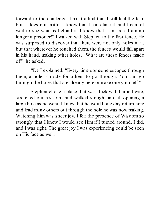forward to the challenge. I must admit that I still feel the fear, but it does not matter. I know that I can climb it, and I cannot wait to see what is behind it. I know that I am free. I am no longer a prisoner!" I walked with Stephen to the first fence. He was surprised to discover that there were not only holes in it, but that wherever he touched them, the fences would fall apart in his hand, making other holes. "What are these fences made of?" he asked.

"De I explained. "Every time someone escapes through them, a hole is made for others to go through. You can go through the holes that are already here or make one yourself."

Stephen chose a place that was thick with barbed wire, stretched out his arms and walked straight into it, opening a large hole as he went. I knew that he would one day return here and lead many others out through the hole he was now making. Watching him was sheer joy. I felt the presence of Wisdom so strongly that I knew I would see Him if I turned around. I did, and I was right. The great joy I was experiencing could be seen on His face as well.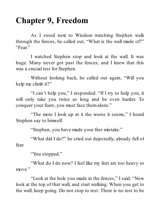## **Chapter 9, Freedom**

As I stood next to Wisdom watching Stephen walk through the fences, he called out, "What is the wall made of?" "Fear."

I watched Stephen stop and look at the wall. It was huge. Many never got past the fences, and I knew that this was a crucial test for Stephen.

Without looking back, he called out again, "Will you help me climb it?"

"I can't help you," I responded. "If I try to help you, it will only take you twice as long and be even harder. To conquer your fears, you must face themalone."

"The more I look up at it the worse it seems," I heard Stephen say to himself.

"Stephen, you have made your first mistake."

"What did I do?" he cried out dejectedly, already full of fear.

"You stopped."

"What do I do now? I feel like my feet are too heavy to move."

"Look at the hole you made in the fences," I said. "Now look at the top of that wall, and start walking. When you get to the wall, keep going. Do not stop to rest. There is no rest to be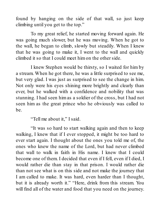found by hanging on the side of that wall, so just keep climbing until you get to the top."

To my great relief, he started moving forward again. He was going much slower, but he was moving. When he got to the wall, he began to climb, slowly but steadily. When I knew that he was going to make it, I went to the wall and quickly climbed it so that I could meet himon the other side.

I knew Stephen would be thirsty, so I waited for him by a stream. When he got there, he was a little surprised to see me, but very glad. I was just as surprised to see the change in him. Not only were his eyes shining more brightly and clearly than ever, but he walked with a confidence and nobility that was stunning. I had seen him as a soldier of the cross, but I had not seen him as the great prince who he obviously was called to be.

"Tell me about it," I said.

"It was so hard to start walking again and then to keep walking, I knew that if I ever stopped, it might be too hard to ever start again. I thought about the ones you told me of, the ones who knew the name of the Lord, but had never climbed that wall to walk in faith in His name. I knew that I could become one of them. I decided that even if I fell, even if I died, I would rather die than stay in that prison. I would rather die than not see what is on this side and not make the journey that I am called to make. It was hard, even harder than I thought, but it is already worth it." "Here, drink from this stream. You will find all of the water and food that you need on the journey.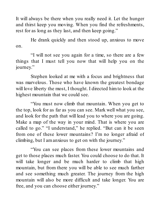It will always be there when you really need it. Let the hunger and thirst keep you moving. When you find the refreshments, rest for as long as they last, and then keep going."

He drank quickly and then stood up, anxious to move on.

"I will not see you again for a time, so there are a few things that I must tell you now that will help you on the journey."

Stephen looked at me with a focus and brightness that was marvelous. Those who have known the greatest bondage will love liberty the most, I thought. I directed himto look at the highest mountain that we could see.

"You must now climb that mountain. When you get to the top, look for as far as you can see. Mark well what you see, and look for the path that will lead you to where you are going. Make a map of the way in your mind. That is where you are called to go." "I understand," he replied. "But can it be seen from one of these lower mountains? I'm no longer afraid of climbing, but I amanxious to get on with the journey."

"You can see places from these lower mountains and get to those places much faster. You could choose to do that. It will take longer and be much harder to climb that high mountain, but from there you will be able to see much farther and see something much greater. The journey from the high mountain will also be more difficult and take longer. You are free, and you can choose either journey."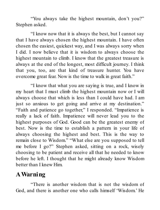"You always take the highest mountain, don't you?" Stephen asked.

"I know now that it is always the best, but I cannot say that I have always chosen the highest mountain. I have often chosen the easiest, quickest way, and I was always sorry when I did. I now believe that it is wisdom to always choose the highest mountain to climb. I know that the greatest treasure is always at the end of the longest, most difficult journey. I think that you, too, are that kind of treasure hunter. You have overcome great fear. Now is the time to walk in great faith."

"I know that what you are saying is true, and I know in my heart that I must climb the highest mountain now or I will always choose that which is less than I could have had. I am just so anxious to get going and arrive at my destination." "Faith and patience go together," I responded. "Impatience is really a lack of faith. Impatience will never lead you to the highest purposes of God. Good can be the greatest enemy of best. Now is the time to establish a pattern in your life of always choosing the highest and best. This is the way to remain close to Wisdom." "What else are you supposed to tell me before I go?" Stephen asked, sitting on a rock, wisely choosing to be patient and receive all that he needed to know before he left. I thought that he might already know Wisdom better than I knew Him.

### **AWarning**

"There is another wisdom that is not the wisdom of God, and there is another one who calls himself 'Wisdom' He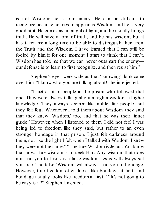is not Wisdom; he is our enemy. He can be difficult to recognize because he tries to appear as Wisdom, and he is very good at it. He comes as an angel of light, and he usually brings truth. He will have a form of truth, and he has wisdom, but it has taken me a long time to be able to distinguish them from the Truth and the Wisdom. I have learned that I can still be fooled by him if for one moment I start to think that I can't. Wisdom has told me that we can never outsmart the enemy our defense is to learn to first recognize, and then resist him."

Stephen's eyes were wide as that "knowing" look came over him. "I know who you are talking about!" he interjected.

"I met a lot of people in the prison who followed that one. They were always talking about a higher wisdom, a higher knowledge. They always seemed like noble, fair people, but they felt foul. Whenever I told them about Wisdom, they said that they knew 'Wisdom' too, and that he was their 'inner guide.' However, when I listened to them, I did not feel I was being led to freedom like they said, but rather to an even stronger bondage in that prison. I just felt darkness around them, not like the light I felt when I talked with Wisdom. I knew they were not the same." "The true Wisdomis Jesus. You know that now. True wisdom is to seek Him. Any wisdom that does not lead you to Jesus is a false wisdom. Jesus will always set you free. The false 'Wisdom' will always lead you to bondage. However, true freedom often looks like bondage at first, and bondage usually looks like freedom at first." "It's not going to be easy is it?" Stephen lamented.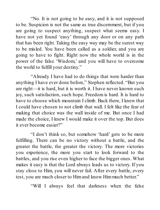"No. It is not going to be easy, and it is not supposed to be. Suspicion is not the same as true discernment, but if you are going to suspect anything, suspect what seems easy. I have not yet found 'easy' through any door or on any path that has been right. Taking the easy way may be the surest way to be misled. You have been called as a soldier, and you are going to have to fight. Right now the whole world is in the power of the false 'Wisdom,' and you will have to overcome the world to fulfill your destiny."

"Already I have had to do things that were harder than anything I have ever done before," Stephen reflected. "But you are right—it is hard, but it is worth it. I have never known such joy, such satisfaction, such hope. Freedom is hard. It is hard to have to choose which mountain I climb. Back there, I knew that I could have chosen to not climb that wall. I felt like the fear of making that choice was the wall inside of me. But once I had made the choice, I knew I would make it over the top. But does it ever become easier?"

"I don't think so, but somehow 'hard' gets to be more fulfilling. There can be no victory without a battle, and the greater the battle, the greater the victory. The more victories you experience, the more you start to look forward to the battles, and you rise even higher to face the bigger ones. What makes it easy is that the Lord always leads us to victory. If you stay close to Him, you will never fail. After every battle, every test, you are much closer to Himand know Himmuch better."

"Will I always feel that darkness when the false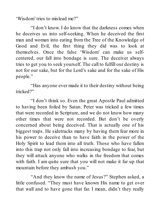'Wisdom'tries to mislead me?"

"I don't know. I do know that the darkness comes when he deceives us into self-seeking. When he deceived the first man and woman into eating from the Tree of the Knowledge of Good and Evil, the first thing they did was to look at themselves. Once the false 'Wisdom' can make us selfcentered, our fall into bondage is sure. The deceiver always tries to get you to seek yourself. The call to fulfill our destiny is not for our sake, but for the Lord's sake and for the sake of His people."

"Has anyone ever made it to their destiny without being tricked?"

"I don't think so. Even the great Apostle Paul admitted to having been foiled by Satan. Peter was tricked a few times that were recorded in Scripture, and we do not know how many other times that were not recorded. But don't be overly concerned about being deceived. That is actually one of his biggest traps. He sidetracks many by having them fear more in his power to deceive than to have faith in the power of the Holy Spirit to lead them into all truth. Those who have fallen into this trap not only fall into increasing bondage to fear, but they will attack anyone who walks in the freedom that comes with faith. I am quite sure that you will not make it far up that mountain before they ambush you."

"And they know the name of Jesus?" Stephen asked, a little confused. "They must have known His name to get over that wall and to have gone that far. I mean, didn't they really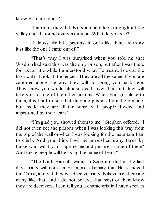know His name once?"

"I am sure they did. But stand and look throughout the valley ahead around every mountain. What do you see?"

"It looks like little prisons. It looks like there are many just like the one I came out of!"

"That's why I was surprised when you told me that Wisdom had said this was the only prison, but after I was there for just a little while I understood what He meant. Look at the high walls. Look at the fences. They are all the same. If you are captured along the way, they will not bring you back here. They know you would choose death over that, but they will take you to one of the other prisons. When you get close to them, it is hard to see that they are prisons from the outside, but inside they are all the same, with people divided and imprisoned by their fears."

"I'm glad you showed them to me," Stephen offered. "I did not even see the prisons when I was looking this way from the top of the wall or when I was looking for the mountain I am to climb. And you think I will be ambushed many times by those who will try to capture me and put me in one of them? And these people will be using the name of Jesus?"

"The Lord, Himself, warns in Scripture that in the last days many will come in His name, claiming that He is indeed the Christ, and yet they will deceive many. Believe me, there are many like that, and I do not believe that most of them know they are deceivers. I can tell you a characteristic I have seen in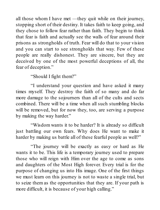all those whom I have met —they quit while on their journey, stopping short of their destiny. It takes faith to keep going, and they chose to follow fear rather than faith. They begin to think that fear is faith and actually see the walls of fear around their prisons as strongholds of truth. Fear will do that to your vision and you can start to see strongholds that way. Few of these people are really dishonest. They are sincere, but they are deceived by one of the most powerful deceptions of all, the fear of deception."

"Should I fight them?"

"I understand your question and have asked it many times myself. They destroy the faith of so many and do far more damage to the sojourners than all of the cults and sects combined. There will be a time when all such stumbling blocks will be removed, but for now they, too, are serving a purpose by making the way harder"

"Wisdom wants it to be harder? It is already so difficult just battling our own fears. Why does He want to make it harder by making us battle all of these fearful people as well?"

"The journey will be exactly as easy or hard as He wants it to be. This life is a temporary journey used to prepare those who will reign with Him over the age to come as sons and daughters of the Most High forever. Every trial is for the purpose of changing us into His image. One of the first things we must learn on this journey is not to waste a single trial, but to seize them as the opportunities that they are. If your path is more difficult, it is because of your high calling."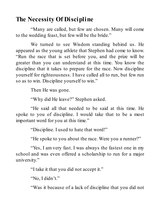### **The Necessity Of Discipline**

"Many are called, but few are chosen. Many will come to the wedding feast, but few will be the bride."

We turned to see Wisdom standing behind us. He appeared as the young athlete that Stephen had come to know. "Run the race that is set before you, and the prize will be greater than you can understand at this time. You know the discipline that it takes to prepare for the race. Now discipline yourself for righteousness. I have called all to run, but few run so as to win. Discipline yourself to win."

Then He was gone.

"Why did He leave?" Stephen asked.

"He said all that needed to be said at this time. He spoke to you of discipline. I would take that to be a most important word for you at this time."

"Discipline. I used to hate that word!"

"He spoke to you about the race. Were you a runner?"

"Yes, I am very fast. I was always the fastest one in my school and was even offered a scholarship to run for a major university."

"I take it that you did not accept it."

"No, I didn't."

"Was it because of a lack of discipline that you did not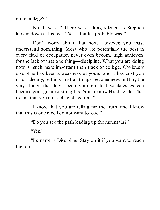go to college?"

"No! It was..." There was a long silence as Stephen looked down at his feet. "Yes, I think it probably was."

"Don't worry about that now. However, you must understand something. Most who are potentially the best in every field or occupation never even become high achievers for the lack of that one thing—discipline. What you are doing now is much more important than track or college. Obviously discipline has been a weakness of yours, and it has cost you much already, but in Christ all things become new. In Him, the very things that have been your greatest weaknesses can become your greatest strengths. You are now His disciple. That means that you are .a disciplined one."

"I know that you are telling me the truth, and I know that this is one race I do not want to lose."

"Do you see the path leading up the mountain?"

"Yes"

"Its name is Discipline. Stay on it if you want to reach the top."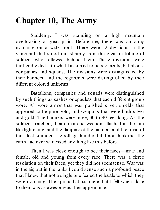## **Chapter 10, The Army**

Suddenly, I was standing on a high mountain overlooking a great plain. Before me, there was an army marching on a wide front. There were 12 divisions in the vanguard that stood out sharply from the great multitude of soldiers who followed behind them. These divisions were further divided into what I assumed to be regiments, battalions, companies and squads. The divisions were distinguished by their banners, and the regiments were distinguished by their different colored uniforms.

Battalions, companies and squads were distinguished by such things as sashes or epaulets that each different group wore. All wore armor that was polished silver, shields that appeared to be pure gold, and weapons that were both silver and gold. The banners were huge, 30 to 40 feet long. As the soldiers marched, their armor and weapons flashed in the sun like lightening, and the flapping of the banners and the tread of their feet sounded like rolling thunder. I did not think that the earth had ever witnessed anything like this before.

Then I was close enough to see their faces—male and female, old and young from every race. There was a fierce resolution on their faces, yet they did not seem tense. War was in the air, but in the ranks I could sense such a profound peace that I knew that not a single one feared the battle to which they were marching. The spiritual atmosphere that I felt when close to themwas as awesome as their appearance.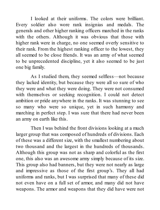I looked at their uniforms. The colors were brilliant. Every soldier also wore rank insignias and medals. The generals and other higher ranking officers marched in the ranks with the others. Although it was obvious that those with higher rank were in charge, no one seemed overly sensitive to their rank. From the highest ranking officer to the lowest, they all seemed to be close friends. It was an army of what seemed to be unprecedented discipline, yet it also seemed to be just one big family.

As I studied them, they seemed selfless—not because they lacked identity, but because they were all so sure of who they were and what they were doing. They were not consumed with themselves or seeking recognition. I could not detect ambition or pride anywhere in the ranks. It was stunning to see so many who were so unique, yet in such harmony and marching in perfect step. I was sure that there had never been an army on earth like this.

Then I was behind the front divisions looking at a much larger group that was composed of hundreds of divisions. Each of these was a different size, with the smallest numbering about two thousand and the largest in the hundreds of thousands. Although this group was not as sharp and colorful as the first one, this also was an awesome army simply because of its size. This group also had banners, but they were not nearly as large and impressive as those of the first group's. They all had uniforms and ranks, but I was surprised that many of these did not even have on a full set of armor, and many did not have weapons. The armor and weapons that they did have were not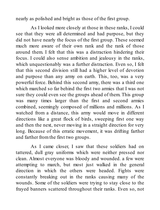nearly as polished and bright as those of the first group.

As I looked more closely at those in these ranks, I could see that they were all determined and had purpose, but they did not have nearly the focus of the first group. These seemed much more aware of their own rank and the rank of those around them. I felt that this was a distraction hindering their focus. I could also sense ambition and jealousy in the ranks, which unquestionably was a further distraction. Even so, I felt that this second division still had a higher level of devotion and purpose than any army on earth. This, too, was a very powerful force. Behind this second army, there was a third one which marched so far behind the first two armies that I was not sure they could even see the groups ahead of them. This group was many times larger than the first and second armies combined, seemingly composed of millions and millions. As I watched from a distance, this army would move in different directions like a great flock of birds, sweeping first one way and then the next, never moving in a straight direction for very long. Because of this erratic movement, it was drifting farther and farther fromthe first two groups.

As I came closer. I saw that these soldiers had on tattered, dull gray uniforms which were neither pressed nor clean. Almost everyone was bloody and wounded. a few were attempting to march, but most just walked in the general direction in which the others were headed. Fights were constantly breaking out in the ranks causing many of the wounds. Some of the soldiers were trying to stay close to the frayed banners scattered throughout their ranks. Even so, not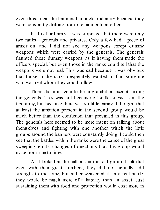even those near the banners had a clear identity because they were constantly drifting fromone banner to another.

In this third army, I was surprised that there were only two ranks—generals and privates. Only a few had a piece of armor on, and I did not see any weapons except dummy weapons which were carried by the generals. The generals flaunted these dummy weapons as if having them made the officers special, but even those in the ranks could tell that the weapons were not real. This was sad because it was obvious that those in the ranks desperately wanted to find someone who was real whomthey could follow.

There did not seem to be any ambition except among the generals. This was not because of selflessness as in the first army, but because there was so little caring. I thought that at least the ambition present in the second group would be much better than the confusion that prevailed in this group. The generals here seemed to be more intent on talking about themselves and fighting with one another, which the little groups around the banners were constantly doing. I could then see that the battles within the ranks were the cause of the great sweeping, erratic changes of directions that this group would make fromtime to time.

As I looked at the millions in the last group, I felt that even with their great numbers, they did not actually add strength to the army, but rather weakened it. In a real battle, they would be much more of a liability than an asset. Just sustaining them with food and protection would cost more in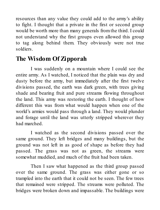resources than any value they could add to the army's ability to fight. I thought that a private in the first or second group would be worth more than many generals fromthe third. I could not understand why the first groups even allowed this group to tag along behind them. They obviously were not true soldiers.

## **The Wisdom Of Zipporah**

I was suddenly on a mountain where I could see the entire army. As I watched, I noticed that the plain was dry and dusty before the army, but immediately after the first twelve divisions passed, the earth was dark green, with trees giving shade and bearing fruit and pure streams flowing throughout the land. This army was restoring the earth. I thought of how different this was from what would happen when one of the world's armies would pass through a land. They would plunder and forage until the land was utterly stripped wherever they had marched.

I watched as the second divisions passed over the same ground. They left bridges and many buildings, but the ground was not left in as good of shape as before they had passed. The grass was not as green, the streams were somewhat muddied, and much of the fruit had been taken.

Then I saw what happened as the third group passed over the same ground. The grass was either gone or so trampled into the earth that it could not be seen. The few trees that remained were stripped. The streams were polluted. The bridges were broken down and impassable. The buildings were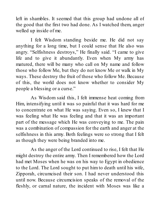left in shambles. It seemed that this group had undone all of the good that the first two had done. As I watched them, anger welled up inside of me.

I felt Wisdom standing beside me. He did not say anything for a long time, but I could sense that He also was angry. "Selfishness destroys," He finally said. "I came to give life and to give it abundantly. Even when My army has matured, there will be many who call on My name and follow those who follow Me, but they do not know Me or walk in My ways. These destroy the fruit of those who follow Me. Because of this, the world does not know whether to consider My people a blessing or a curse."

As Wisdom said this, I felt immense heat coming from Him, intensifying until it was so painful that it was hard for me to concentrate on what He was saying. Even so, I knew that I was feeling what He was feeling and that it was an important part of the message which He was conveying to me. The pain was a combination of compassion for the earth and anger at the selfishness in this army. Both feelings were so strong that I felt as though they were being branded into me.

As the anger of the Lord continued to rise, I felt that He might destroy the entire army. Then I remembered how the Lord had met Moses when he was on his way to Egypt in obedience to the Lord. The Lord sought to put him to death until his wife, Zipporah, circumcised their son. I had never understood this until now. Because circumcision speaks of the removal of the fleshly, or carnal nature, the incident with Moses was like a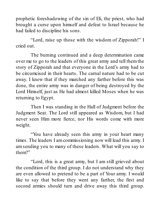prophetic foreshadowing of the sin of Eli, the priest, who had brought a curse upon himself and defeat to Israel because he had failed to discipline his sons.

"Lord, raise up those with the wisdom of Zipporah!" I cried out.

The burning continued and a deep determination came over me to go to the leaders of this great army and tell them the story of Zipporah and that everyone in the Lord's army had to be circumcised in their hearts. The carnal nature had to be cut away. I knew that if they marched any farther before this was done, the entire army was in danger of being destroyed by the Lord Himself, just as He had almost killed Moses when he was returning to Egypt.

Then I was standing in the Hall of Judgment before the Judgment Seat. The Lord still appeared as Wisdom, but I had never seen Him more fierce, nor His words come with more weight.

"You have already seen this army in your heart many times. The leaders I amcommissioning now will lead this army. I am sending you to many of these leaders. What will you say to them?"

"Lord, this is a great army, but I am still grieved about the condition of the third group. I do not understand why they are even allowed to pretend to be a part of Your army. I would like to say that before they went any farther, the first and second armies should turn and drive away this third group.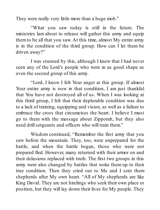They were really very little more than a huge mob."

"What you saw today is still in the future. The ministries lam about to release will gather this army and equip them to be all that you saw. At this time, almost My entire army is in the condition of the third group. How can I let them be driven away?"

I was stunned by this, although I knew that I had never seen any of the Lord's people who were in as good shape as even the second group of this army.

"Lord, I know I felt Your anger at this group. If almost Your entire army is now in that condition, I am just thankful that You have not destroyed all of us. When I was looking at this third group, I felt that their deplorable condition was due to a lack of training, equipping and vision, as well as a failure to embrace the cross that circumcises the heart. I believe I must go to them with the message about Zipporah, but they also need drill sergeants and officers who will train them."

Wisdom continued, "Remember the first army that you saw before the mountain. They, too, were unprepared for the battle, and when the battle began, those who were not prepared fled. However, many returned with their armor on and their delusions replaced with truth. The first two groups in this army were also changed by battles that woke them up to their true condition. Then they cried out to Me and I sent them shepherds after My own heart. "All of My shepherds are like King David. They are not hirelings who seek their own place or position, but they will lay down their lives for My people. They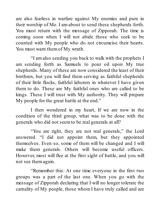are also fearless in warfare against My enemies and pure in their worship of Me. I am about to send these shepherds forth. You must return with the message of Zipporah. The time is coming soon when I will not abide those who seek to be counted with My people who do not circumcise their hearts. You must warn themof My wrath.

"I am also sending you back to walk with the prophets I am sending forth as Samuels to pour oil upon My true shepherds. Many of these are now considered the least of their brethren, but you will find them serving as faithful shepherds of their little flocks, faithful laborers in whatever I have given them to do. These are My faithful ones who are called to be kings. These I will trust with My authority. They will prepare My people for the great battle at the end."

I then wondered in my heart, If we are now in the condition of the third group, what was to be done with the generals who did not seemto be real generals at all?

"You are right, they are not real generals," the Lord answered. "I did not appoint them, but they appointed themselves. Even so, some of them will be changed and I will make them generals. Others will become useful officers. However, most will flee at the first sight of battle, and you will not see themagain.

"Remember this: At one time everyone in the first two groups was a part of the last one. When you go with the message of Zipporah declaring that I will no longer tolerate the carnality of My people, those whom I have truly called and are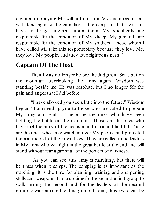devoted to obeying Me will not run from My circumcision but will stand against the carnality in the camp so that I will not have to bring judgment upon them. My shepherds are responsible for the condition of My sheep. My generals are responsible for the condition of My soldiers. Those whom I have called will take this responsibility because they love Me, they love My people, and they love righteous ness."

## **Captain Of The Host**

Then I was no longer before the Judgment Seat, but on the mountain overlooking the army again. Wisdom was standing beside me. He was resolute, but I no longer felt the pain and anger that I did before.

"I have allowed you see a little into the future," Wisdom began. "I am sending you to those who are called to prepare My army and lead it. These are the ones who have been fighting the battle on the mountain. These are the ones who have met the army of the accuser and remained faithful. These are the ones who have watched over My people and protected them at the risk of their own lives. They are called to be leaders in My army who will fight in the great battle at the end and will stand without fear against all of the powers of darkness.

"As you can see, this army is marching, but there will be times when it camps. The camping is as important as the marching. It is the time for planning, training and sharpening skills and weapons. It is also time for those in the first group to walk among the second and for the leaders of the second group to walk among the third group, finding those who can be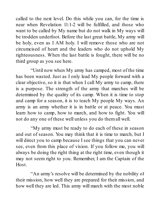called to the next level. Do this while you can, for the time is near when Revelation 11:1-2 will be fulfilled, and those who want to be called by My name but do not walk in My ways will be trodden underfoot. Before the last great battle, My army will be holy, even as I AM holy. I will remove those who are not circumcised of heart and the leaders who do not uphold My righteousness. When the last battle is fought, there will be no third group as you see here.

"Until now when My army has camped, most of the time has been wasted. Just as I only lead My people forward with a clear objective, so it is that when I call My army to camp, there is a purpose. The strength of the army that marches will be determined by the quality of its camp. When it is time to stop and camp for a season, it is to teach My people My ways. An army is an army whether it is in battle or at peace. You must learn how to camp, how to march, and how to fight. You will not do any one of these well unless you do themall well.

"My army must be ready to do each of these in season and out of season. You may think that it is time to march, but I will direct you to camp because I see things that you can never see, even from this place of vision. If you follow me, you will always be doing the right thing at the right time, even though it may not seem right to you. Remember, I am the Captain of the Host.

"An army's resolve will be determined by the nobility of their mission, how well they are prepared for their mission, and how well they are led. This army will march with the most noble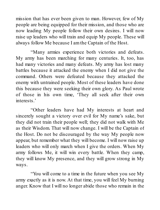mission that has ever been given to man. However, few of My people are being equipped for their mission, and those who are now leading My people follow their own desires. I will now raise up leaders who will train and equip My people. These will always follow Me because I amthe Captain of the Host.

"Many armies experience both victories and defeats. My army has been marching for many centuries. It, too, has had many victories and many defeats. My army has lost many battles because it attacked the enemy when I did not give the command. Others were defeated because they attacked the enemy with untrained people. Most of these leaders have done this because they were seeking their own glory. As Paul wrote of those in his own time, 'They all seek after their own interests.'

"Other leaders have had My interests at heart and sincerely sought a victory over evil for My name's sake, but they did not train their people well; they did not walk with Me as their Wisdom. That will now change. I will be the Captain of the Host. Do not be discouraged by the way My people now appear, but remember what they will become. I will now raise up leaders who will only march when I give the orders. When My army follows Me, it will win every battle. When they camp, they will know My presence, and they will grow strong in My ways.

"You will come to a time in the future when you see My army exactly as it is now. At that time, you will feel My burning anger. Know that I will no longer abide those who remain in the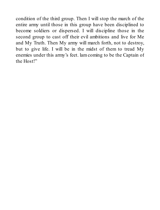condition of the third group. Then I will stop the march of the entire army until those in this group have been disciplined to become soldiers or dispersed. I will discipline those in the second group to cast off their evil ambitions and live for Me and My Truth. Then My army will march forth, not to destroy, but to give life. I will be in the midst of them to tread My enemies under this army's feet. lam coming to be the Captain of the Host!"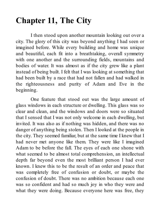# **Chapter 11, The City**

I then stood upon another mountain looking out over a city. The glory of this city was beyond anything I had seen or imagined before. While every building and home was unique and beautiful, each fit into a breathtaking, overall symmetry with one another and the surrounding fields, mountains and bodies of water. It was almost as if the city grew like a plant instead of being built. I felt that I was looking at something that had been built by a race that had not fallen and had walked in the righteousness and purity of Adam and Eve in the beginning.

One feature that stood out was the large amount of glass windows in each structure or dwelling. This glass was so clear and clean, and the windows and doors were so situated that I sensed that I was not only welcome in each dwelling, but invited. It was also as if nothing was hidden, and there was no danger of anything being stolen. Then I looked at the people in the city. They seemed familiar, but at the same time I knew that I had never met anyone like them. They were like I imagined Adam to be before the fall. The eyes of each one shone with what seemed to be almost total comprehension, an intellectual depth far beyond even the most brilliant person I had ever known. I knew this to be the result of an order and peace that was completely free of confusion or doubt, or maybe the confusion of doubt. There was no ambition because each one was so confident and had so much joy in who they were and what they were doing. Because everyone here was free, they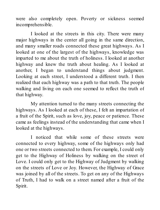were also completely open. Poverty or sickness seemed incomprehensible.

I looked at the streets in this city. There were many major highways in the center all going in the same direction, and many smaller roads connected these great highways. As I looked at one of the largest of the highways, knowledge was imparted to me about the truth of holiness. I looked at another highway and knew the truth about healing. As I looked at another, I began to understand things about judgment. Looking at each street, I understood a different truth. I then realized that each highway was a path to that truth. The people walking and living on each one seemed to reflect the truth of that highway.

My attention turned to the many streets connecting the highways. As I looked at each of these, I felt an impartation of a fruit of the Spirit, such as love, joy, peace or patience. These came as feelings instead of the understanding that came when I looked at the highways.

I noticed that while some of these streets were connected to every highway, some of the highways only had one or two streets connected to them. For example, I could only get to the Highway of Holiness by walking on the street of Love. I could only get to the Highway of Judgment by walking on the streets of Love or Joy. However, the Highway of Grace was joined by all of the streets. To get on any of the Highways of Truth, I had to walk on a street named after a fruit of the Spirit.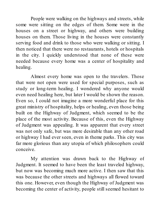People were walking on the highways and streets, while some were sitting on the edges of them. Some were in the houses on a street or highway, and others were building houses on them. Those living in the houses were constantly serving food and drink to those who were walking or sitting. I then noticed that there were no restaurants, hotels or hospitals in the city. I quickly understood that none of these were needed because every home was a center of hospitality and healing.

Almost every home was open to the travelers. Those that were not open were used for special purposes, such as study or long-term healing. I wondered why anyone would even need healing here, but later I would be shown the reason. Even so, I could not imagine a more wonderful place for this great ministry of hospitality, helps or healing, even those being built on the Highway of Judgment, which seemed to be the place of the most activity. Because of this, even the Highway of Judgment was appealing. It was apparent that every street was not only safe, but was more desirable than any other road or highway I had ever seen, even in theme parks. This city was far more glorious than any utopia of which philosophers could conceive.

My attention was drawn back to the Highway of Judgment. It seemed to have been the least traveled highway, but now was becoming much more active. I then saw that this was because the other streets and highways all flowed toward this one. However, even though the Highway of Judgment was becoming the center of activity, people still seemed hesitant to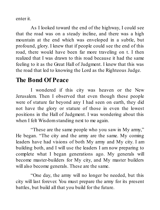enter it.

As I looked toward the end of the highway, I could see that the road was on a steady incline, and there was a high mountain at the end which was enveloped in a subtle, but profound, glory. I knew that if people could see the end of this road, there would have been far more traveling on t. I then realized that I was drawn to this road because it had the same feeling to it as the Great Hall of Judgment. I knew that this was the road that led to knowing the Lord as the Righteous Judge.

#### **The Bond Of Peace**

I wondered if this city was heaven or the New Jerusalem. Then I observed that even though these people were of stature far beyond any I had seen on earth, they did not have the glory or stature of those in even the lowest positions in the Hall of Judgment. I was wondering about this when I felt Wisdomstanding next to me again.

"These are the same people who you saw in My army," He began. "The city and the army are the same. My coming leaders have had visions of both My army and My city. I am building both, and I will use the leaders I am now preparing to complete what I began generations ago. My generals will become master-builders for My city, and My master builders will also become generals. These are the same.

"One day, the army will no longer be needed, but this city will last forever. You must prepare the army for its present battles, but build all that you build for the future.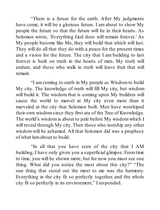"There is a future for the earth. After My judgments have come, it will be a glorious future. I am about to show My people the future so that the future will be in their hearts. As Solomon wrote, 'Everything God does will remain forever.' As My people become like Me, they will build that which will last. They will do all that they do with a peace for the present times and a vision for the future. The city that I am building to last forever is built on truth in the hearts of men. My truth will endure, and those who walk in truth will leave fruit that will remain.

"I am coming to earth in My people as Wisdom to build My city. The knowledge of truth will fill My city, but wisdom will build it. The wisdom that is coming upon My builders will cause the world to marvel at My city even more than it marveled at the city that Solomon built. Men have worshiped their own wisdomsince they first ate of the Tree of Knowledge. The world's wisdomis about to pale before My wisdomwhich I will reveal through My city. Then those who worship any other wisdom will be ashamed. All that Solomon did was a prophecy of what lamabout to build.

"In all that you have seen of the city that I AM building, I have only given you a superficial glimpse. Fromtime to time, you will be shown more, but for now you must see one thing. What did you notice the most about this city?" "The one thing that stood out the most to me was the harmony. Everything in the city fit so perfectly together, and the whole city fit so perfectly in its environment," I responded.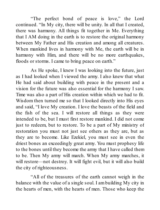"The perfect bond of peace is love," the Lord continued. "In My city, there will be unity. In all that I created, there was harmony. All things fit together in Me. Everything that I AM doing in the earth is to restore the original harmony between My Father and His creation and among all creatures. When mankind lives in harmony with Me, the earth will be in harmony with Him, and there will be no more earthquakes. floods or storms. I came to bring peace on earth."

As He spoke, I knew I was looking into the future, just as I had looked when I viewed the army. I also knew that what He had said about building with peace in the present and a vision for the future was also essential for the harmony I saw. Time was also a part of His creation within which we had to fit. Wisdom then turned me so that I looked directly into His eyes and said, "I love My creation. I love the beasts of the field and the fish of the sea. I will restore all things as they were intended to be, but I must first restore mankind. I did not come just to redeem, but to restore. To be a part of My ministry of restoration you must not just see others as they are, but as they are to become. Like Ezekiel, you must see in even the driest bones an exceedingly great army. You must prophesy life to the bones until they become the army that I have called them to be. Then My army will march. When My army marches, it will restore—not destroy. It will fight evil, but it will also build the city of righteousness.

"All of the treasures of the earth cannot weigh in the balance with the value of a single soul. I ambuilding My city in the hearts of men, with the hearts of men. Those who keep the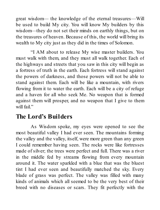great wisdom— the knowledge of the eternal treasures—Will be used to build My city. You will know My builders by this wisdom—they do not set their minds on earthly things, but on the treasures of heaven. Because of this, the world will bring its wealth to My city just as they did in the times of Solomon.

"I AM about to release My wise master builders. You must walk with them, and they must all walk together. Each of the highways and streets that you saw in this city will begin as a fortress of truth in the earth. Each fortress will stand against the powers of darkness, and those powers will not be able to stand against them. Each will be like a mountain, with rivers flowing from it to water the earth. Each will be a city of refuge and a haven for all who seek Me. No weapon that is formed against them will prosper, and no weapon that I give to them will fail."

### **The Lord's Builders**

As Wisdom spoke, my eyes were opened to see the most beautiful valley I had ever seen. The mountains forming the valley and the valley, itself, were more green than any green I could remember having seen. The rocks were like fortresses made of silver; the trees were perfect and full. There was a river in the middle fed by streams flowing from every mountain around it. The water sparkled with a blue that was the bluest tint I had ever seen and beautifully matched the sky. Every blade of grass was perfect. The valley was filled with many kinds of animals which all seemed to be the very best of their breed with no diseases or scars. They fit perfectly with the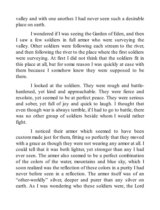valley and with one another. I had never seen such a desirable place on earth.

I wondered if I was seeing the Garden of Eden, and then I saw a few soldiers in full armor who were surveying the valley. Other soldiers were following each stream to the river, and then following the river to the place where the first soldiers were surveying. At first I did not think that the soldiers fit in this place at all, but for some reason I was quickly at ease with them because I somehow knew they were supposed to be there.

I looked at the soldiers. They were rough and battlehardened, yet kind and approachable. They were fierce and resolute, yet seemed to be at perfect peace. They were serious and sober, yet full of joy and quick to laugh. I thought that even though war is always terrible, if I had to go to battle, there was no other group of soldiers beside whom I would rather fight.

I noticed their armor which seemed to have been custom made just for them, fitting so perfectly that they moved with a grace as though they were not wearing any armor at all. I could tell that it was both lighter, yet stronger than any I had ever seen. The armor also seemed to be a perfect combination of the colors of the water, mountains and blue sky, which I soon realized was the reflection of these colors in a purity I had never before seen in a reflection. The armor itself was of an "other-worldly" silver, deeper and purer than any silver on earth. As I was wondering who these soldiers were, the Lord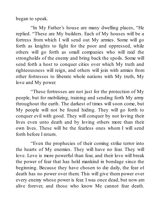began to speak.

"In My Father's house are many dwelling places, "He replied. "These are My builders. Each of My houses will be a fortress from which I will send out My armies. Some will go forth as knights to fight for the poor and oppressed, while others will go forth as small companies who will raid the strongholds of the enemy and bring back the spoils. Some will send forth a host to conquer cities over which My truth and righteousness will reign, and others will join with armies from other fortresses to liberate whole nations with My truth, My love and My power.

"These fortresses are not just for the protection of My people, but for mobilizing, training and sending forth My army throughout the earth. The darkest of times will soon come, but My people will not be found hiding. They will go forth to conquer evil with good. They will conquer by not loving their lives even unto death and by loving others more than their own lives. These will be the fearless ones whom I will send forth before I return.

"Even the prophecies of their coming strike terror into the hearts of My enemies. They will have no fear. They will love. Love is more powerful than fear, and their love will break the power of fear that has held mankind in bondage since the beginning. Because they have chosen to die daily, the fear of death has no power over them. This will give them power over every enemy whose power is fear. I was once dead, but now am alive forever, and those who know Me cannot fear death.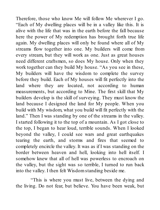Therefore, those who know Me will follow Me wherever I go. "Each of My dwelling places will be in a valley like this. It is alive with the life that was in the earth before the fall because here the power of My redemption has brought forth true life again. My dwelling places will only be found where all of My streams flow together into one. My builders will come from every stream, but they will work as one. Just as great houses need different craftsmen, so does My house. Only when they work together can they build My house. "As you see in these, My builders will have the wisdom to complete the survey before they build. Each of My houses will fit perfectly into the land where they are located, not according to human measurements, but according to Mine. The first skill that My builders develop is the skill of surveying. They must know the land because I designed the land for My people. When you build with My wisdom, what you build will fit perfectly with the land." Then I was standing by one of the streams in the valley. I started following it to the top of a mountain. As I got close to the top, I began to hear loud, terrible sounds. When I looked beyond the valley. I could see wars and great earthquakes tearing the earth, and storms and fires that seemed to completely encircle the valley. It was as if I was standing on the border between heaven and hell, looking into hell itself. I somehow knew that all of hell was powerless to encroach on the valley, but the sight was so terrible, I turned to run back into the valley. I then felt Wisdomstanding beside me.

"This is where you must live, between the dying and the living. Do not fear, but believe. You have been weak, but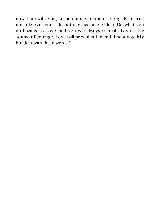now I am with you, so be courageous and strong. Fear must not rule over you—do nothing because of fear. Do what you do because of love, and you will always triumph. Love is the source of courage. Love will prevail in the end. Encourage My builders with these words."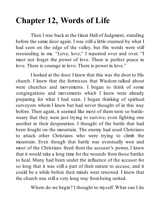## **Chapter 12, Words of Life**

Then I was back at the Great Hall of Judgment, standing before the same door again. I was still a little stunned by what I had seen on the edge of the valley, but His words were still resounding in me. "Love, love," I repeated over and over. "I must not forget the power of love. There is perfect peace in love. There is courage in love. There is power in love."

I looked at the door. I knew that this was the door to His church. I knew that the fortresses that Wisdom talked about were churches and movements. I began to think of some congregations and movements which I knew were already preparing for what I had seen. I began thinking of spiritual surveyors whom I knew but had never thought of in this way before. Then again, it seemed like most of them were so battleweary that they were just trying to survive, even fighting one another in their desperation. I thought of the battle that had been fought on the mountain. The enemy had used Christians to attack other Christians who were trying to climb the mountain. Even though that battle was eventually won and most of the Christians freed from the accuser's power, I knew that it would take a long time for the wounds fromthose battles to heal. Many had been under the influence of the accuser for so long that it was still a part of their nature to accuse, and it could be a while before their minds were renewed. I knew that the church was still a very long way frombeing united.

Where do we begin? I thought to myself. What can I do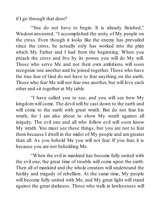if I go through that door?

"You do not have to begin. It is already finished," Wisdom answered. "I accomplished the unity of My people on the cross. Even though it looks like the enemy has prevailed since the cross, he actually only has worked into the plan which My Father and I had from the beginning. When you preach the cross and live by its power, you will do My will. Those who serve Me and not their own ambitions will soon recognize one another and be joined together. Those who have the true fear of God do not have to fear anything on the earth. Those who fear Me will not fear one another, but will love each other and sit together at My table.

"I have called you to see, and you will see how My kingdomwill come. The devil will be cast down to the earth and will come to the earth with great wrath. But do not fear his wrath, for I am also about to show My wrath against all iniquity. The evil one and all who follow evil will soon know My wrath. You must see these things, but you are not to fear them because I dwell in the midst of My people and am greater than all. As you behold Me you will not fear. If you fear, it is because you are not beholding Me.

"When the evil in mankind has become fully united with the evil one, the great time of trouble will come upon the earth. Then all of mankind and the whole creation will understand the futility and tragedy of rebellion. At the same time, My people will become fully united with Me, and My great light will stand against the great darkness. Those who walk in lawlessness will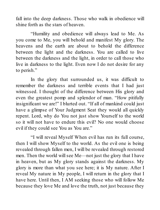fall into the deep darkness. Those who walk in obedience will shine forth as the stars of heaven.

"Humility and obedience will always lead to Me. As you come to Me, you will behold and manifest My glory. The heavens and the earth are about to behold the difference between the light and the darkness. You are called to live between the darkness and the light, in order to call those who live in darkness to the light. Even now I do not desire for any to perish."

In the glory that surrounded us, it was difficult to remember the darkness and terrible events that I had just witnessed. I thought of the difference between His glory and even the greatest pomp and splendor of man. "How pitifully insignificant we are!" I blurted out. "If all of mankind could just have a glimpse of Your Judgment Seat they would all quickly repent. Lord, why do You not just show Yourself to the world so it will not have to endure this evil? No one would choose evil if they could see You as You are."

"I will reveal Myself When evil has run its full course, then I will show Myself to the world. As the evil one is being revealed through fallen men, I will be revealed through restored men. Then the world willsee Me—not just the glory that I have in heaven, but as My glory stands against the darkness. My glory is more than what you see here; it is My nature. After I reveal My nature in My people, I will return in the glory that I have here. Until then, I AM seeking those who will follow Me because they love Me and love the truth, not just because they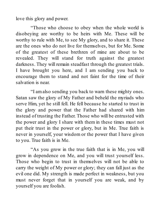love this glory and power.

"Those who choose to obey when the whole world is disobeying are worthy to be heirs with Me. These will be worthy to rule with Me, to see My glory, and to share it. These are the ones who do not live for themselves, but for Me. Some of the greatest of these brethren of mine are about to be revealed. They will stand for truth against the greatest darkness. They will remain steadfast through the greatest trials. I have brought you here, and I am sending you back to encourage them to stand and not faint for the time of their salvation is near.

"I amalso sending you back to warn these mighty ones. Satan saw the glory of My Father and beheld the myriads who serve Him, yet he still fell. He fell because he started to trust in the glory and power that the Father had shared with him instead of trusting the Father. Those who will be entrusted with the power and glory I share with them in these times must not put their trust in the power or glory, but in Me. True faith is never in yourself, your wisdom or the power that I have given to you. True faith is in Me.

"As you grow in the true faith that is in Me, you will grow in dependence on Me, and you will trust yourself less. Those who begin to trust in themselves will not be able to carry the weight of My power or glory; they can fall just as the evil one did. My strength is made perfect in weakness, but you must never forget that in yourself you are weak, and by yourself you are foolish.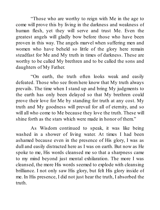"Those who are worthy to reign with Me in the age to come will prove this by living in the darkness and weakness of human flesh, yet they will serve and trust Me. Even the greatest angels will gladly bow before those who have been proven in this way. The angels marvel when suffering men and women who have beheld so little of the glory here remain steadfast for Me and My truth in times of darkness. These are worthy to be called My brethren and to be called the sons and daughters of My Father.

"On earth, the truth often looks weak and easily defeated. Those who see from here know that My truth always prevails. The time when I stand up and bring My judgments to the earth has only been delayed so that My brethren could prove their love for Me by standing for truth at any cost. My truth and My goodness will prevail for all of eternity, and so will all who come to Me because they love the truth. These will shine forth as the stars which were made in honor of them."

As Wisdom continued to speak, it was like being washed in a shower of living water. At times I had been ashamed because even in the presence of His glory, I was as dull and easily distracted here as I was on earth. But now as He spoke to me, His words cleansed me so that a sharpness came to my mind beyond just mental exhilaration. The more I was cleansed, the more His words seemed to explode with cleansing brilliance. I not only saw His glory, but felt His glory inside of me. In His presence, I did not just hear the truth, I absorbed the truth.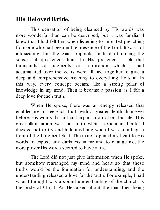#### **His Beloved Bride.**

This sensation of being cleansed by His words was more wonderful than can be described, but it was familiar. I knew that I had felt this when listening to anointed preaching from one who had been in the presence of the Lord. It was not intoxicating, but the exact opposite. Instead of dulling the senses, it quickened them. In His presence, I felt that thousands of fragments of information which I had accumulated over the years were all tied together to give a deep and comprehensive meaning to everything He said. In this way, every concept became like a strong pillar of knowledge in my mind. Then it became a passion as I felt a deep love for each truth.

When He spoke, there was an energy released that enabled me to see each truth with a greater depth than ever before. His words did not just impart information, but life. This great illumination was similar to what I experienced after I decided not to try and hide anything when I was standing in front of the Judgment Seat. The more I opened my heart to His words to expose any darkness in me and to change me, the more power His words seemed to have in me.

The Lord did not just give information when He spoke, but somehow rearranged my mind and heart so that these truths would be the foundation for understanding, and the understanding released a love for the truth. For example, I had what I thought was a sound understanding of the church as the bride of Christ. As He talked about the ministries being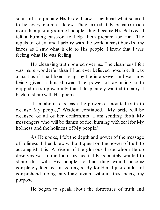sent forth to prepare His bride, I saw in my heart what seemed to be every church I knew. They immediately became much more than just a group of people; they became His Beloved. I felt a burning passion to help them prepare for Him. The repulsion of sin and harlotry with the world almost buckled my knees as I saw what it did to His people. I knew that I was feeling what He was feeling.

His cleansing truth poured over me. The cleanness I felt was more wonderful than I had ever believed possible. It was almost as if I had been living my life in a sewer and was now being given a hot shower. The power of cleansing truth gripped me so powerfully that I desperately wanted to carry it back to share with His people.

"I am about to release the power of anointed truth to cleanse My people," Wisdom continued. "My bride will be cleansed of all of her defilements. I am sending forth My messengers who will be flames of fire, burning with zeal for My holiness and the holiness of My people."

As He spoke, I felt the depth and power of the message of holiness. I then knew without question the power of truth to accomplish this. A Vision of the glorious bride whom He so deserves was burned into my heart. I Passionately wanted to share this with His people so that they would become completely focused on getting ready for Him. I just could not comprehend doing anything again without this being my purpose.

He began to speak about the fortresses of truth and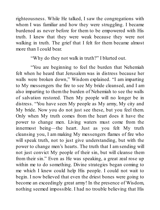righteousness. While He talked, I saw the congregations with whom I was familiar and how they were struggling. I became burdened as never before for them to be empowered with His truth. I knew that they were weak because they were not walking in truth. The grief that I felt for them became almost more than Loould bear.

"Why do they not walk in truth?" I blurted out.

"You are beginning to feel the burden that Nehemiah felt when he heard that Jerusalem was in distress because her walls were broken down," Wisdom explained. "I am imparting to My messengers the fire to see My bride cleansed, and I am also imparting to them the burden of Nehemiah to see the walls of salvation restored. Then My people will no longer be in distress. "You have seen My people as My army, My city and My bride. Now you do not just see these, but you feel them. Only when My truth comes from the heart does it have the power to change men. Living waters must come from the innermost being—the heart. Just as you felt My truth cleansing you, I am making My messengers flames of fire who will speak truth, not to just give understanding, but with the power to change men's hearts. The truth that I am sending will not just convict My people of their sin, but will cleanse them from their sin." Even as He was speaking, a great zeal rose up within me to do something. Divine strategies began coming to me which I knew could help His people. I could not wait to begin. I now believed that even the driest bones were going to become an exceedingly great army! In the presence of Wisdom, nothing seemed impossible. I had no trouble believing that His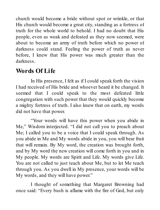church would become a bride without spot or wrinkle, or that His church would become a great city, standing as a fortress of truth for the whole world to behold. I had no doubt that His people, even as weak and defeated as they now seemed, were about to become an army of truth before which no power of darkness could stand. Feeling the power of truth as never before, I knew that His power was much greater than the darkness.

#### **Words Of Life**

In His presence, I felt as if I could speak forth the vision I had received of His bride and whoever heard it be changed. It seemed that I could speak to the most defeated little congregation with such power that they would quickly become a mighty fortress of truth. I also knew that on earth, my words did not have that power.

"Your words will have this power when you abide in Me," Wisdom interjected. "I did not call you to preach about Me; I called you to be a voice that I could speak through. As you abide in Me and My words abide in you, you will bear fruit that will remain. By My word, the creation was brought forth, and by My word the new creation will come forth in you and in My people. My words are Spirit and Life. My words give Life. You are not called to just teach about Me, but to let Me teach through you. As you dwell in My presence, your words will be My words, and they will have power."

I thought of something that Margaret Browning had once said: "Every bush is aflame with the fire of God, but only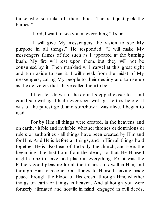those who see take off their shoes. The rest just pick the herries."

"Lord, I want to see you in everything," I said.

"I will give My messengers the vision to see My purpose in all things," He responded. "I will make My messengers flames of fire such as I appeared at the burning bush. My fire will rest upon them, but they will not be consumed by it. Then mankind will marvel at this great sight and turn aside to see it. I will speak from the midst of My messengers, calling My people to their destiny and to rise up as the deliverers that I have called themto be."

I then felt drawn to the door. I stepped closer to it and could see writing. I had never seen writing like this before. It was of the purest gold, and somehow it was alive. I began to read.

For by Him all things were created, in the heavens and on earth, visible and invisible, whether thrones or dominions or rulers or authorities - all things have been created by Him and for Him. And He is before all things, and in Him all things hold together. He is also head of the body, the church; and He is the beginning, the first-born from the dead; so that He Himself might come to have first place in everything. For it was the Fathers good pleasure for all the fullness to dwell in Him, and through Him to reconcile all things to Himself, having made peace through the blood of His cross; through Him, whether things on earth or things in heaven. And although you were formerly alienated and hostile in mind, engaged in evil deeds,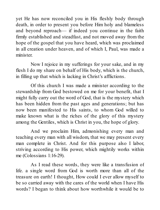yet He has now reconciled you in His fleshly body through death, in order to present you before Him holy and blameless and beyond reproach— if indeed you continue in the faith firmly established and steadfast, and not moved away from the hope of the gospel that you have heard, which was proclaimed in all creation under heaven, and of which I, Paul, was made a minister.

Now I rejoice in my sufferings for your sake, and in my flesh I do my share on behalf of His body, which is the church, in filling up that which is lacking in Christ's afflictions.

Of this church I was made a minister according to the stewardship from God bestowed on me for your benefit, that I might fully carry out the word of God, that is the mystery which has been hidden from the past ages and generations; but has now been manifested to His saints, to whom God willed to make known what is the riches of the glory of this mystery among the Gentiles, which is Christ in you, the hope of glory.

And we proclaim Him, admonishing every man and teaching every man with all wisdom, that we may present every man complete in Christ. And for this purpose also I labor, striving according to His power, which mightily works within me (Colossians 1:16-29).

As I read these words, they were like a transfusion of life. a single word from God is worth more than all of the treasure on earth! I thought, How could I ever allow myself to be so carried away with the cares of the world when I have His words? I began to think about how worthwhile it would be to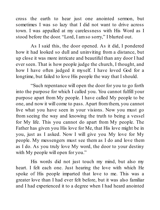cross the earth to hear just one anointed sermon, but sometimes I was so lazy that I did not want to drive across town. I was appalled at my carelessness with His Word as I stood before the door. "Lord, I amso sorry," I blurted out.

As I said this, the door opened. As it did, I pondered how it had looked so dull and uninviting from a distance, but up close it was more intricate and beautiful than any door I had ever seen. That is how people judge the church, I thought, and how I have often judged it myself. I have loved God for a longtime, but failed to love His people the way that I should.

"Such repentance will open the door for you to go forth into the purpose for which I called you. You cannot fulfill your purpose apart from My people. I have called My people to be one, and now it will come to pass. Apart fromthem, you cannot live what you have seen in your visions. Now you must go from seeing the way and knowing the truth to being a vessel for My life. This you cannot do apart from My people. The Father has given you His love for Me, that His love might be in you, just as I asked. Now I will give you My love for My people. My messengers must see them as I do and love them as I do. As you truly love My word, the door to your destiny with My people will open for you."

His words did not just touch my mind, but also my heart. I felt each one. Just hearing the love with which He spoke of His people imparted that love to me. This was a greater love than I had ever felt before, but it was also familiar and I had experienced it to a degree when I had heard anointed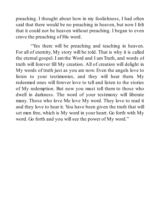preaching. I thought about how in my foolishness, I had often said that there would be no preaching in heaven, but now I felt that it could not be heaven without preaching. I began to even crave the preaching of His word.

"Yes there will be preaching and teaching in heaven. For all of eternity, My story will be told. That is why it is called the eternal gospel. I am the Word and I am Truth, and words of truth will forever fill My creation. All of creation will delight in My words of truth just as you are now. Even the angels love to listen to your testimonies, and they will hear them. My redeemed ones will forever love to tell and listen to the stories of My redemption. But now you must tell them to those who dwell in darkness. The word of your testimony will liberate many. Those who love Me love My word. They love to read it and they love to hear it. You have been given the truth that will set men free, which is My word in your heart. Go forth with My word. Go forth and you willsee the power of My word."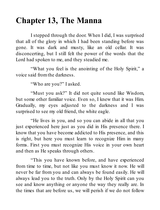# **Chapter 13, The Manna**

I stepped through the door. When I did, I was surprised that all of the glory in which I had been standing before was gone. It was dark and musty, like an old cellar. It was disconcerting, but I still felt the power of the words that the Lord had spoken to me, and they steadied me.

"What you feel is the anointing of the Holy Spirit," a voice said fromthe darkness.

"Who are you?" I asked.

"Must you ask?" It did not quite sound like Wisdom, but some other familiar voice. Even so, I knew that it was Him. Gradually, my eyes adjusted to the darkness and I was surprised to see my old friend, the white eagle.

"He lives in you, and so you can abide in all that you just experienced here just as you did in His presence there. I know that you have become addicted to His presence, and this is right, but here you must learn to recognize Him in many forms. First you must recognize His voice in your own heart and then as He speaks through others.

"This you have known before, and have experienced from time to time, but not like you must know it now. He will never be far from you and can always be found easily. He will always lead you to the truth. Only by the Holy Spirit can you see and know anything or anyone the way they really are. In the times that are before us, we will perish if we do not follow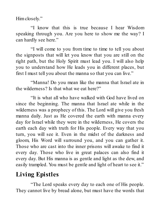Himclosely."

"I know that this is true because I hear Wisdom speaking through you. Are you here to show me the way? I can hardly see here."

"I will come to you from time to time to tell you about the signposts that will let you know that you are still on the right path, but the Holy Spirit must lead you. I will also help you to understand how He leads you in different places, but first I must tell you about the manna so that you can live."

"Manna! Do you mean like the manna that Israel ate in the wilderness? Is that what we eat here?"

"It is what all who have walked with God have lived on since the beginning. The manna that Israel ate while in the wilderness was a prophecy of this. The Lord will give you fresh manna daily. Just as He covered the earth with manna every day for Israel while they were in the wilderness, He covers the earth each day with truth for His people. Every way that you turn, you will see it. Even in the midst of the darkness and gloom, His Word will surround you, and you can gather it. Those who are cast into the inner prisons will awake to find it every day. Those who live in great palaces can also find it every day. But His manna is as gentle and light as the dew, and easily trampled. You must be gentle and light of heart to see it."

## **Living Epistles**

"The Lord speaks every day to each one of His people. They cannot live by bread alone, but must have the words that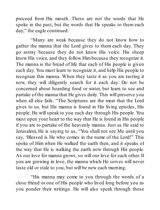proceed from His mouth. These are not the words that He spoke in the past, but the words that He speaks to them each day," the eagle continued.

"Many are weak because they do not know how to gather the manna that the Lord gives to them each day. They go astray because they do not know His voice. His sheep know His voice, and they follow Himbecause they recognize it. The manna is the bread of life that each of His people is given each day. You must learn to recognize it, and help His people to recognize this manna. When they taste it as you are tasting it now, they will diligently search for it each day. Do not be concerned about hoarding food or water, but learn to see and partake of the manna that He gives daily. This will preserve you when all else fails. "The Scriptures are the meat that the Lord gives to us, but His manna is found in His living epistles, His people. He will speak to you each day through His people. You must open your heart to the way that He is found in His people if you are to partake of the heavenly manna. Just as He said to Jerusalem, He is saying to us, "You shall not see Me until you say, 'Blessed is He who comes in the name of the Lord!" This spoke of Him when He walked the earth then, and it speaks of the way that He is walking the earth now through His people. As our love for manna grows, so will our love for each other. If you are growing in love, the manna which He serves will never taste old or stale to you, but will be new each morning.

"His manna may come to you through the words of a close friend or one of His people who lived long before you as you ponder their writings. He will also speak through those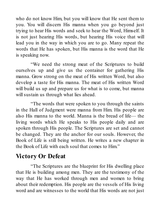who do not know Him, but you will know that He sent them to you. You will discern His manna when you go beyond just trying to hear His words and seek to hear the Word, Himself. It is not just hearing His words, but hearing His voice that will lead you in the way in which you are to go. Many repeat the words that He has spoken, but His manna is the word that He is speaking now.

"We need the strong meat of the Scriptures to build ourselves up and give us the container for gathering His manna. Grow strong on the meat of His written Word, but also develop a taste for His manna. The meat of His written Word will build us up and prepare us for what is to come, but manna will sustain us through what lies ahead.

"The words that were spoken to you through the saints in the Hall of Judgment were manna from Him. His people are also His manna to the world. Manna is the bread of life— the living words which He speaks to His people daily and are spoken through His people. The Scriptures are set and cannot be changed. They are the anchor for our souls. However, the Book of Life is still being written. He writes a new chapter in the Book of Life with each soul that comes to Him."

#### **Victory Or Defeat**

"The Scriptures are the blueprint for His dwelling place that He is building among men. They are the testimony of the way that He has worked through men and women to bring about their redemption. His people are the vessels of His living word and are witnesses to the world that His words are not just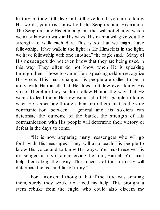history, but are still alive and still give life. If you are to know His words, you must know both the Scripture and His manna. The Scriptures are His eternal plans that will not change which we must know to walk in His ways. His manna will give you the strength to walk each day. This is so that we might have fellowship. 'If we walk in the light as He Himself is in the light, we have fellowship with one another," the eagle said. "Many of His messengers do not even know that they are being used in this way. They often do not know when He is speaking through them. Those to whomHe is speaking seldomrecognize His voice. This must change. His people are called to be in unity with Him in all that He does, but few even know His voice. Therefore they seldom follow Him in the way that He wants to lead them. He now wants all of His people to know when He is speaking through them or to them. Just as the sure communication between a general and his soldiers can determine the outcome of the battle, the strength of His communication with His people will determine their victory or defeat in the days to come.

"He is now preparing many messengers who will go forth with His messages. They will also teach His people to know His voice and to know His ways. You must receive His messengers as if you are receiving the Lord, Himself. You must help them along their way. The success of their ministry will determine the rise and fall of many."

For a moment I thought that if the Lord was sending them, surely they would not need my help. This brought a stern rebuke from the eagle, who could also discern my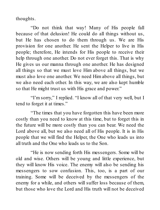thoughts.

"Do not think that way! Many of His people fall because of that delusion! He could do all things without us, but He has chosen to do them through us. We are His provision for one another. He sent the Helper to live in His people; therefore, He intends for His people to receive their help through one another. Do not ever forget this. That is why He gives us our manna through one another. He has designed all things so that we must love Him above all things, but we must also love one another. We need Him above all things, but we also need each other. In this way, we are also kept humble so that He might trust us with His grace and power."

"I'm sorry," I replied. "I know all of that very well, but I tend to forget it at times."

"The times that you have forgotten this have been more costly than you need to know at this time, but to forget this in the future will be more costly than you can bear. We need the Lord above all, but we also need all of His people. It is in His people that we will find the Helper, the One who leads us into all truth and the One who leads us to the Son.

"He is now sending forth His messengers. Some will be old and wise. Others will be young and little experience, but they will know His voice. The enemy will also be sending his messengers to sow confusion. This, too, is a part of our training. Some will be deceived by the messengers of the enemy for a while, and others will suffer loss because of them, but those who love the Lord and His truth will not be deceived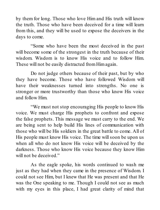by them for long. Those who love Him and His truth will know the truth. Those who have been deceived for a time will learn from this, and they will be used to expose the deceivers in the days to come.

"Some who have been the most deceived in the past will become some of the strongest in the truth because of their wisdom. Wisdom is to know His voice and to follow Him. These will not be easily distracted fromHimagain.

Do not judge others because of their past, but by who they have become. Those who have followed Wisdom will have their weaknesses turned into strengths. No one is stronger or more trustworthy than those who know His voice and follow Him.

"We must not stop encouraging His people to know His voice. We must charge His prophets to confront and expose the false prophets. This message we must carry to the end. We are being sent to help build His lines of communication with those who will be His soldiers in the great battle to come. All of His people must know His voice. The time will soon be upon us when all who do not know His voice will be deceived by the darkness. Those who know His voice because they know Him will not be deceived."

As the eagle spoke, his words continued to wash me just as they had when they came in the presence of Wisdom. I could not see Him, but I knew that He was present and that He was the One speaking to me. Though I could not see as much with my eyes in this place, I had great clarity of mind that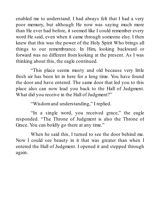enabled me to understand. I had always felt that I had a very poor memory, but although He now was saying much more than He ever had before, it seemed like I could remember every word He said, even when it came through someone else. I then knew that this was the power of the Holy Spirit Who brings all things to our remembrance. In Him, looking backward or forward was no different from looking at the present. As I was thinking about this, the eagle continued.

"This place seems musty and old because very little fresh air has been let in here for a long time. You have found the door and have entered. The same door that led you to this place also can now lead you back to the Hall of Judgment. What did you receive in the Hall of Judgment?"

"Wisdomand understanding," I replied.

"In a single word, you received grace," the eagle responded. "The Throne of Judgment is also the Throne of Grace. You can boldly go there at any time."

When he said this, I turned to see the door behind me. Now I could see beauty in it that was greater than when I entered the Hall of Judgment. I opened it and stepped through again.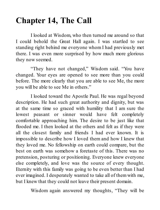# **Chapter 14, The Call**

I looked at Wisdom, who then turned me around so that I could behold the Great Hall again. I was startled to see standing right behind me everyone whom I had previously met there. I was even more surprised by how much more glorious they now seemed.

"They have not changed," Wisdom said. "You have changed. Your eyes are opened to see more than you could before. The more clearly that you are able to see Me, the more you will be able to see Me in others."

I looked toward the Apostle Paul. He was regal beyond description. He had such great authority and dignity, but was at the same time so graced with humility that I am sure the lowest peasant or sinner would have felt completely comfortable approaching him. The desire to be just like that flooded me. I then looked at the others and felt as if they were all the closest family and friends I had ever known. It is impossible to describe how I loved them and how I knew that they loved me. No fellowship on earth could compare, but the best on earth was somehow a foretaste of this. There was no pretension, posturing or positioning. Everyone knew everyone else completely, and love was the source of every thought. Eternity with this family was going to be even better than I had ever imagined. I desperately wanted to take all of them with me, but I knew that they could not leave their present domain.

Wisdom again answered my thoughts, "They will be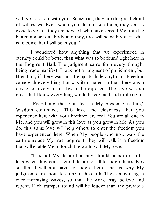with you as I am with you. Remember, they are the great cloud of witnesses. Even when you do not see them, they are as close to you as they are now. All who have served Me fromthe beginning are one body and they, too, will be with you in what is to come, but I will be in you."

I wondered how anything that we experienced in eternity could be better than what was to be found right here in the Judgment Hall. The judgment came from every thought being made manifest. It was not a judgment of punishment, but liberation, if there was no attempt to hide anything. Freedom came with everything that was illuminated so that there was a desire for every heart flaw to be exposed. The love was so great that I knew everything would be covered and made right.

"Everything that you feel in My presence is true," Wisdom continued. "This love and closeness that you experience here with your brethren are real. You are all one in Me, and you will grow in this love as you grow in Me. As you do, this same love will help others to enter the freedom you have experienced here. When My people who now walk the earth embrace My true judgment, they will walk in a freedom that will enable Me to touch the world with My love.

"It is not My desire that any should perish or suffer loss when they come here. I desire for all to judge themselves so that I will not have to judge them. That is why My judgments are about to come to the earth. They are coming in ever increasing waves, so that the world may believe and repent. Each trumpet sound will be louder than the previous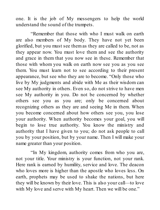one. It is the job of My messengers to help the world understand the sound of the trumpets.

"Remember that those with who I must walk on earth are also members of My body. They have not yet been glorified, but you must see them as they are called to be, not as they appear now. You must love them and see the authority and grace in them that you now see in these. Remember that those with whom you walk on earth now see you as you see them. You must learn not to see according to their present appearance, but see who they are to become. "Only those who live by My judgments and abide with Me as their wisdom can see My authority in others. Even so, do not strive to have men see My authority in you. Do not be concerned by whether others see you as you are; only be concerned about recognizing others as they are and seeing Me in them. When you become concerned about how others see you, you lose your authority. When authority becomes your goal, you will begin to lose true authority. You know the ministry and authority that I have given to you; do not ask people to call you by your position, but by your name. Then I will make your name greater than your position.

"In My kingdom, authority comes from who you are, not your title. Your ministry is your function, not your rank. Here rank is earned by humility, service and love. The deacon who loves more is higher than the apostle who loves less. On earth, prophets may be used to shake the nations, but here they will be known by their love. This is also your call—to love with My love and serve with My heart. Then we will be one."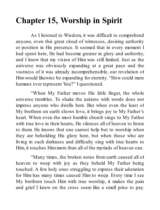# **Chapter 15, Worship in Spirit**

As I listened to Wisdom, it was difficult to comprehend anyone, even this great cloud of witnesses, desiring authority or position in His presence. It seemed that in every moment I had spent here, He had become greater in glory and authority, and I knew that my vision of Him was still limited. Just as the universe was obviously expanding at a great pace and the vastness of it was already incomprehensible, our revelation of Him would likewise be expanding for eternity. "How could mere humans ever represent You?" I questioned.

"When My Father moves His little finger, the whole universe trembles. To shake the nations with words does not impress anyone who dwells here. But when even the least of My brethren on earth shows love, it brings joy to My Father's heart. When even the most humble church sings to My Father with true love in their hearts, He silences all of heaven to listen to them. He knows that one cannot help but to worship when they are beholding His glory here, but when those who are living in such darkness and difficulty sing with true hearts to Him, it touches Himmore than all of the myriads of heaven can.

"Many times, the broken notes from earth caused all of heaven to weep with joy as they beheld My Father being touched. A few holy ones struggling to express their adoration for Him has many times caused Him to weep. Every time I see My brethren touch Him with true worship, it makes the pain and grief I knew on the cross seem like a small price to pay.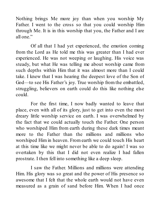Nothing brings Me more joy than when you worship My Father. I went to the cross so that you could worship Him through Me. It is in this worship that you, the Father and I are all one."

Of all that I had yet experienced, the emotion coming from the Lord as He told me this was greater than I had ever experienced. He was not weeping or laughing. His voice was steady, but what He was telling me about worship came from such depths within Him that it was almost more than I could take. I knew that I was hearing the deepest love of the Son of God—to see His Father's joy. True worship from the embattled, struggling, believers on earth could do this like nothing else could.

For the first time, I now badly wanted to leave that place, even with all of its glory, just to get into even the most dreary little worship service on earth. I was overwhelmed by the fact that we could actually touch the Father. One person who worshiped Him from earth during these dark times meant more to the Father than the millions and millions who worshiped Him in heaven. From earth we could touch His heart at this time like we might never be able to do again! I was so overtaken by this that I did not even realize I had fallen prostrate. I then fell into something like a deep sleep.

I saw the Father. Millions and millions were attending Him. His glory was so great and the power of His presence so awesome that I felt that the whole earth would not have even measured as a grain of sand before Him. When I had once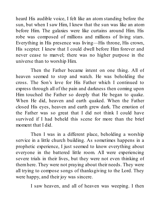heard His audible voice, I felt like an atom standing before the sun, but when I saw Him, I knew that the sun was like an atom before Him. The galaxies were like curtains around Him. His robe was composed of millions and millions of living stars. Everything in His presence was living—His throne, His crown, His scepter. I knew that I could dwell before Him forever and never cease to marvel; there was no higher purpose in the universe than to worship Him.

Then the Father became intent on one thing. All of heaven seemed to stop and watch. He was beholding the cross. The Son's love for His Father which I continued to express through all of the pain and darkness then coming upon Him touched the Father so deeply that He began to quake. When He did, heaven and earth quaked. When the Father closed His eyes, heaven and earth grew dark. The emotion of the Father was so great that I did not think I could have survived if I had beheld this scene for more than the brief moment that I did.

Then I was in a different place, beholding a worship service in a little church building. As sometimes happens in a prophetic experience, I just seemed to know everything about everyone in the battered little room. All were experiencing severe trials in their lives, but they were not even thinking of themhere. They were not praying about their needs. They were all trying to compose songs of thanksgiving to the Lord. They were happy, and their joy was sincere.

I saw heaven, and all of heaven was weeping. I then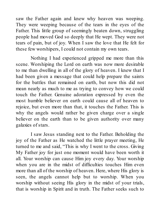saw the Father again and knew why heaven was weeping. They were weeping because of the tears in the eyes of the Father. This little group of seemingly beaten down, struggling people had moved God so deeply that He wept. They were not tears of pain, but of joy. When I saw the love that He felt for these few worshipers, I could not contain my own tears.

Nothing I had experienced gripped me more than this scene. Worshiping the Lord on earth was now more desirable to me than dwelling in all of the glory of heaven. I knew that I had been given a message that could help prepare the saints for the battles that remained on earth, but now this did not mean nearly as much to me as trying to convey how we could touch the Father. Genuine adoration expressed by even the most humble believer on earth could cause all of heaven to rejoice, but even more than that, it touches the Father. This is why the angels would rather be given charge over a single believer on the earth than to be given authority over many galaxies of stars.

I saw Jesus standing next to the Father. Beholding the joy of the Father as He watched the little prayer meeting, He turned to me and said, "This is why I went to the cross. Giving My Father joy for just one moment would have been worth it all. Your worship can cause Him joy every day. Your worship when you are in the midst of difficulties touches Him even more than all of the worship of heaven. Here, where His glory is seen, the angels cannot help but to worship. When you worship without seeing His glory in the midst of your trials, that is worship in Spirit and in truth. The Father seeks such to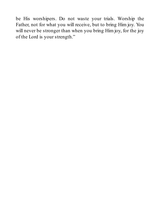be His worshipers. Do not waste your trials. Worship the Father, not for what you will receive, but to bring Him joy. You will never be stronger than when you bring Him joy, for the joy of the Lord is your strength."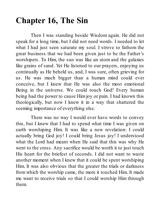# **Chapter 16, The Sin**

Then I was standing beside Wisdom again. He did not speak for a long time, but I did not need words. I needed to let what I had just seen saturate my soul. I strove to fathom the great business that we had been given just to be the Father's worshipers. To Him, the sun was like an atom and the galaxies like grains of sand. Yet He listened to our prayers, enjoying us continually as He beheld us, and, I was sure, often grieving for us. He was much bigger than a human mind could ever conceive, but I knew that He was also the most emotional Being in the universe. We could touch God! Every human being had the power to cause Himjoy or pain. I had known this theologically, but now I knew it in a way that shattered the seeming importance of everything else.

There was no way I would ever have words to convey this, but I knew that I had to spend what time I was given on earth worshiping Him. It was like a new revelation: I could actually bring God joy! I could bring Jesus joy! I understood what the Lord had meant when He said that this was why He went to the cross. Any sacrifice would be worth it to just touch His heart for the briefest of seconds. I did not want to waste another moment when I knew that it could be spent worshiping Him. It was also obvious that the greater the trials or darkness from which the worship came, the more it touched Him. It made me want to receive trials so that I could worship Him through them.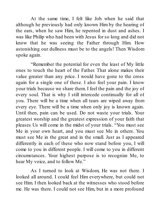At the same time, I felt like Job when he said that although he previously had only known Him by the hearing of the ears, when he saw Him, he repented in dust and ashes. I was like Philip who had been with Jesus for so long and did not know that he was seeing the Father through Him. How astonishing our dullness must be to the angels! Then Wisdom spoke again.

"Remember the potential for even the least of My little ones to touch the heart of the Father. That alone makes their value greater than any price. I would have gone to the cross again for a single one of these. I also feel your pain. I know your trials because we share them. I feel the pain and the joy of every soul. That is why I still intercede continually for all of you. There will be a time when all tears are wiped away from every eye. There will be a time when only joy is known again. Until then, pain can be used. Do not waste your trials. Your greatest worship and the greatest expression of your faith that pleases Us will come in the midst of your trials. "You must see Me in your own heart, and you must see Me in others. You must see Me in the great and in the small. Just as I appeared differently in each of these who now stand before you, I will come to you in different people. I will come to you in different circumstances. Your highest purpose is to recognize Me, to hear My voice, and to follow Me."

As I turned to look at Wisdom, He was not there. I looked all around. I could feel Him everywhere, but could not see Him. I then looked back at the witnesses who stood before me. He was there. I could not see Him, but in a more profound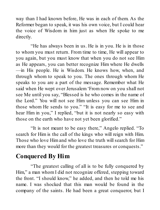way than I had known before, He was in each of them. As the Reformer began to speak, it was his own voice, but I could hear the voice of Wisdom in him just as when He spoke to me directly.

"He has always been in us. He is in you. He is in those to whom you must return. From time to time, He will appear to you again, but you must know that when you do not see Him as He appears, you can better recognize Him where He dwells —in His people. He is Wisdom. He knows how, when, and through whom to speak to you. The ones through whom He speaks to you are a part of the message. Remember what He said when He wept over Jerusalem 'From now on you shall not see Me until you say, "Blessed is he who comes in the name of the Lord." You will not see Him unless you can see Him in those whom He sends to you." "It is easy for me to see and hear Him in you," I replied, "but it is not nearly so easy with those on the earth who have not yet been glorified."

"It is not meant to be easy there," Angelo replied. "To search for Him is the call of the kings who will reign with Him. Those who love Him and who love the truth will search for Him more than they would for the greatest treasures or conquests."

## **Conquered By Him**

"The greatest calling of all is to be fully conquered by Him," a man whom I did not recognize offered, stepping toward the front. "I should know," he added, and then he told me his name. I was shocked that this man would be found in the company of the saints. He had been a great conqueror, but I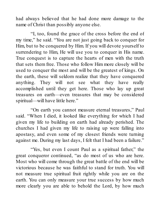had always believed that he had done more damage to the name of Christ than possibly anyone else.

"I, too, found the grace of the cross before the end of my time," he said. "You are not just going back to conquer for Him, but to be conquered by Him. If you will devote yourself to surrendering to Him, He will use you to conquer in His name. True conquest is to capture the hearts of men with the truth that sets them free. Those who follow Him more closely will be used to conquer the most and will be the greatest of kings. On the earth, these will seldom realize that they have conquered anything. They will not see what they have really accomplished until they get here. Those who lay up great treasures on earth—even treasures that may be considered spiritual—will have little here."

"On earth you cannot measure eternal treasures," Paul said. "When I died, it looked like everything for which I had given my life to building on earth had already perished. The churches I had given my life to raising up were falling into apostasy, and even some of my closest friends were turning against me. During my last days, I felt that I had been a failure."

"Yes, but even I count Paul as a spiritual father," the great conqueror continued, "as do most of us who are here. Most who will come through the great battle of the end will be victorious because he was faithful to stand for truth. You will not measure true spiritual fruit rightly while you are on the earth. You can only measure your true success by how much more clearly you are able to behold the Lord, by how much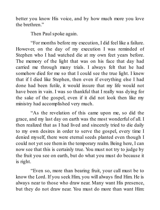better you know His voice, and by how much more you love the brethren."

Then Paulspoke again.

"For months before my execution, I did feel like a failure. However, on the day of my execution I was reminded of Stephen who I had watched die at my own feet years before. The memory of the light that was on his face that day had carried me through many trials. I always felt that he had somehow died for me so that I could see the true light. I knew that if I died like Stephen, then even if everything else I had done had been futile, it would insure that my life would not have been in vain. I was so thankful that I really was dying for the sake of the gospel, even if it did not look then like my ministry had accomplished very much.

"As the revelation of this came upon me, so did the grace, and my last day on earth was the most wonderful of all. I then realized that as I had lived and sincerely tried to die daily to my own desires in order to serve the gospel, every time I denied myself, there were eternal seeds planted even though I could not yet see themin the temporary realm. Being here, I can now see that this is certainly true. You must not try to judge by the fruit you see on earth, but do what you must do because it is right.

"Even so, more than bearing fruit, your call must be to know the Lord. If you seek Him, you will always find Him. He is always near to those who draw near. Many want His presence, but they do not draw near. You must do more than want Him: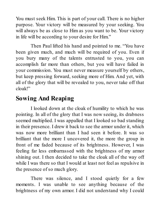You must seek Him. This is part of your call. There is no higher purpose. Your victory will be measured by your seeking. You will always be as close to Him as you want to be. Your victory in life will be according to your desire for Him."

Then Paul lifted his hand and pointed to me. "You have been given much, and much will be required of you. Even if you bury many of the talents entrusted to you, you can accomplish far more than others, but you will have failed in your commission. You must never measure yourself by others, but keep pressing forward, seeking more of Him. And yet, with all of the glory that will be revealed to you, never take off that cloak!"

## **Sowing And Reaping**

I looked down at the cloak of humility to which he was pointing. In all of the glory that I was now seeing, its drabness seemed multiplied. I was appalled that I looked so bad standing in their presence. I drew it back to see the armor under it, which was now more brilliant than I had seen it before. It was so brilliant that the more I uncovered it, the more the group in front of me faded because of its brightness. However, I was feeling far less embarrassed with the brightness of my armor shining out. I then decided to take the cloak all of the way off while I was there so that I would at least not feel as repulsive in the presence of so much glory.

There was silence, and I stood quietly for a few moments. I was unable to see anything because of the brightness of my own armor. I did not understand why I could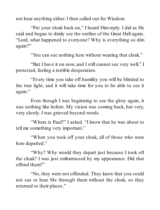not hear anything either. I then called out for Wisdom.

"Put your cloak back on," I heard Him reply. I did as He said and began to dimly see the outline of the Great Hall again. "Lord, what happened to everyone? Why is everything so dim again?"

"You can see nothing here without wearing that cloak."

"But I have it on now, and I still cannot see very well," I protested, feeling a terrible desperation.

"Every time you take off humility you will be blinded to the true light, and it will take time for you to be able to see it again."

Even though I was beginning to see the glory again, it was nothing like before. My vision was coming back, but very, very slowly. I was grieved beyond words.

"Where is Paul?" I asked. "I know that he was about to tell me something very important."

"When you took off your cloak, all of those who were here departed."

"Why? Why would they depart just because I took off the cloak? I was just embarrassed by my appearance. Did that offend them?"

"No, they were not offended. They knew that you could not see or hear Me through them without the cloak, so they returned to their places."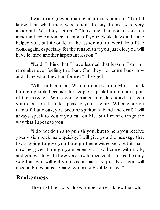I was more grieved than ever at this statement. "Lord, I know that what they were about to say to me was very important. Will they return?" "It is true that you missed an important revelation by taking off your cloak. It would have helped you, but if you learn the lesson not to ever take off the cloak again, especially for the reason that you just did, you will have learned another important lesson."

"Lord, I think that I have learned that lesson. I do not remember ever feeling this bad. Can they not come back now and share what they had for me?" I begged.

"All Truth and all Wisdom comes from Me. I speak through people because the people I speak through are a part of the message. While you remained humble enough to keep your cloak on, I could speak to you in glory. Whenever you take off that cloak, you become spiritually blind and deaf. I will always speak to you if you call on Me, but I must change the way that I speak to you.

"I do not do this to punish you, but to help you receive your vision back more quickly. I will give you the message that I was going to give you through these witnesses, but it must now be given through your enemies. It will come with trials, and you will have to bow very low to receive it. This is the only way that you will get your vision back as quickly as you will need it. For what is coming, you must be able to see."

## **Brokenness**

The grief I felt was almost unbearable. I knew that what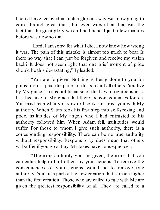I could have received in such a glorious way was now going to come through great trials, but even worse than that was the fact that the great glory which I had beheld just a few minutes before was now so dim.

"Lord, I am sorry for what I did. I now know how wrong it was. The pain of this mistake is almost too much to bear. Is there no way that I can just be forgiven and receive my vision back? It does not seem right that one brief moment of pride should be this devastating," I pleaded.

"You are forgiven. Nothing is being done to you for punishment. I paid the price for this sin and all others. You live by My grace. This is not because of the Law of righteousness. It is because of My grace that there are consequences for sin. You must reap what you sow or I could not trust you with My authority. When Satan took his first step into self-seeking and pride, multitudes of My angels who I had entrusted to his authority followed him. When Adam fell, multitudes would suffer. For those to whom I give such authority, there is a corresponding responsibility. There can be no true authority without responsibility. Responsibility does mean that others will suffer if you go astray. Mistakes have consequences.

"The more authority you are given, the more that you can either help or hurt others by your actions. To remove the consequences of your actions would be to remove true authority. You are a part of the new creation that is much higher than the first creation. Those who are called to rule with Me are given the greatest responsibility of all. They are called to a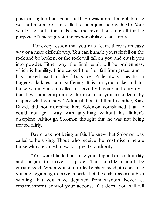position higher than Satan held. He was a great angel, but he was not a son. You are called to be a joint heir with Me. Your whole life, both the trials and the revelations, are all for the purpose of teaching you the responsibility of authority.

"For every lesson that you must learn, there is an easy way or a more difficult way. You can humble yourself fall on the rock and be broken, or the rock will fall on you and crush you into powder. Either way, the final result will be brokenness, which is humility. Pride caused the first fall from grace, and it has caused most of the falls since. Pride always results in tragedy, darkness and suffering. It is for your sake and for those whom you are called to serve by having authority over that I will not compromise the discipline you must learn by reaping what you sow. "Adonijah boasted that his father, King David, did not discipline him. Solomon complained that he could not get away with anything without his father's discipline. Although Solomon thought that he was not being treated fairly,

David was not being unfair. He knew that Solomon was called to be a king. Those who receive the most discipline are those who are called to walk in greater authority.

"You were blinded because you stepped out of humility and began to move in pride. The humble cannot be embarrassed. When you start to feel embarrassed, it is because you are beginning to move in pride. Let the embarrassment be a warning that you have departed from wisdom. Never let embarrassment control your actions. If it does, you will fall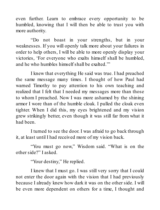even further. Learn to embrace every opportunity to be humbled, knowing that I will then be able to trust you with more authority.

"Do not boast in your strengths, but in your weaknesses. If you will openly talk more about your failures in order to help others, I will be able to more openly display your victories, 'For everyone who exalts himself shall be humbled, and he who humbles himself shall be exalted.'"

I knew that everything He said was true. I had preached the same message many times. I thought of how Paul had warned Timothy to pay attention to his own teaching and realized that I felt that I needed my messages more than those to whom I preached. Now I was more ashamed by the shining armor I wore than of the humble cloak. I pulled the cloak even tighter. When I did this, my eyes brightened and my vision grew strikingly better, even though it was still far from what it had been.

I turned to see the door. I was afraid to go back through it, at least until I had received more of my vision back.

"You must go now," Wisdom said. "What is on the other side?" I asked.

"Your destiny," He replied.

I knew that I must go. I was still very sorry that I could not enter the door again with the vision that I had previously because I already knew how dark it was on the other side. I will be even more dependent on others for a time, I thought and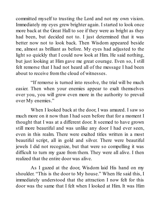committed myself to trusting the Lord and not my own vision. Immediately my eyes grew brighter again. I started to look once more back at the Great Hall to see if they were as bright as they had been, but decided not to. I just determined that it was better now not to look back. Then Wisdom appeared beside me, almost as brilliant as before. My eyes had adjusted to the light so quickly that I could now look at Him. He said nothing, but just looking at Him gave me great courage. Even so, I still felt remorse that I had not heard all of the message I had been about to receive fromthe cloud of witnesses.

"If remorse is turned into resolve, the trial will be much easier. Then when your enemies appear to exalt themselves over you, you will grow even more in the authority to prevail over My enemies."

When I looked back at the door, I was amazed. I saw so much more on it now than I had seen before that for a moment I thought that I was at a different door. It seemed to have grown still more beautiful and was unlike any door I had ever seen, even in this realm. There were exalted titles written in a most beautiful script, all in gold and silver. There were beautiful jewels I did not recognize, but that were so compelling it was difficult to turn my gaze from them. They were all alive. I then realized that the entire door was alive.

As I gazed at the door, Wisdom laid His hand on my shoulder. "This is the door to My house." When He said this, I immediately understood that the attraction I now felt for this door was the same that I felt when I looked at Him. It was Him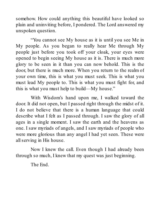somehow. How could anything this beautiful have looked so plain and uninviting before, I pondered. The Lord answered my unspoken question.

"You cannot see My house as it is until you see Me in My people. As you began to really hear Me through My people just before you took off your cloak, your eyes were opened to begin seeing My house as it is. There is much more glory to be seen in it than you can now behold. This is the door, but there is much more. When you return to the realm of your own time, this is what you must seek. This is what you must lead My people to. This is what you must fight for, and this is what you must help to build—My house."

With Wisdom's hand upon me, I walked toward the door. It did not open, but I passed right through the midst of it. I do not believe that there is a human language that could describe what I felt as I passed through. I saw the glory of all ages in a single moment. I saw the earth and the heavens as one. I saw myriads of angels, and I saw myriads of people who were more glorious than any angel I had yet seen. These were allserving in His house.

Now I knew the call. Even though I had already been through so much, I knew that my quest was just beginning.

The End.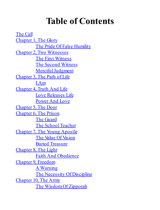## **Table of Contents**

The Call Chapter 1, The Glory The Pride Of False Humility Chapter 2, Two Witnesses The First Witness The Second Witness Merciful Judgment Chapter 3, The Path of Life I Am Chapter 4, Truth And Life Love Releases Life Power And Love Chapter 5, The Door Chapter 6, The Prison The Guard The School Teacher Chapter 7, The Young Apostle The Value Of Vision **Buried Treasure** Chapter 8, The Light Faith And Obedience Chapter 9, Freedom A Warning The Necessity Of Discipline Chapter 10, The Army The WisdomOf Zipporah